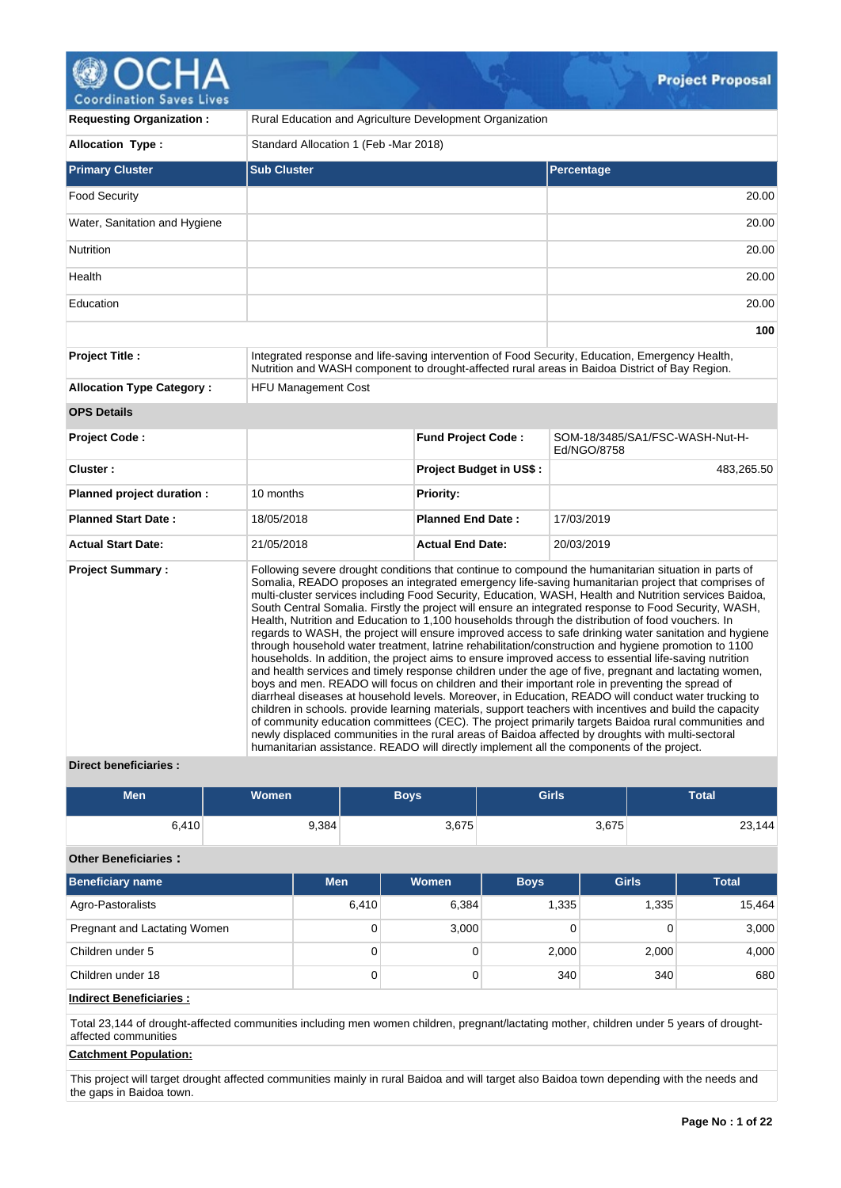# **@OCHA**

| <b>CONTAINSTION AGACS FIACS</b>  |                                                                                                                                                                                                                                                                                                                                                                                                                                                                                                                                                                                                                                                                                                                                                                                                                                                                                                                                                                                                                                                                                                                                                                                                                                                                                                                                                                                                                                                                                                                                                                                                         |                                        |                                                                                                                                                                                                   |  |  |  |  |
|----------------------------------|---------------------------------------------------------------------------------------------------------------------------------------------------------------------------------------------------------------------------------------------------------------------------------------------------------------------------------------------------------------------------------------------------------------------------------------------------------------------------------------------------------------------------------------------------------------------------------------------------------------------------------------------------------------------------------------------------------------------------------------------------------------------------------------------------------------------------------------------------------------------------------------------------------------------------------------------------------------------------------------------------------------------------------------------------------------------------------------------------------------------------------------------------------------------------------------------------------------------------------------------------------------------------------------------------------------------------------------------------------------------------------------------------------------------------------------------------------------------------------------------------------------------------------------------------------------------------------------------------------|----------------------------------------|---------------------------------------------------------------------------------------------------------------------------------------------------------------------------------------------------|--|--|--|--|
| <b>Requesting Organization:</b>  | Rural Education and Agriculture Development Organization                                                                                                                                                                                                                                                                                                                                                                                                                                                                                                                                                                                                                                                                                                                                                                                                                                                                                                                                                                                                                                                                                                                                                                                                                                                                                                                                                                                                                                                                                                                                                |                                        |                                                                                                                                                                                                   |  |  |  |  |
| <b>Allocation Type:</b>          |                                                                                                                                                                                                                                                                                                                                                                                                                                                                                                                                                                                                                                                                                                                                                                                                                                                                                                                                                                                                                                                                                                                                                                                                                                                                                                                                                                                                                                                                                                                                                                                                         | Standard Allocation 1 (Feb - Mar 2018) |                                                                                                                                                                                                   |  |  |  |  |
| <b>Primary Cluster</b>           | <b>Sub Cluster</b>                                                                                                                                                                                                                                                                                                                                                                                                                                                                                                                                                                                                                                                                                                                                                                                                                                                                                                                                                                                                                                                                                                                                                                                                                                                                                                                                                                                                                                                                                                                                                                                      |                                        | Percentage                                                                                                                                                                                        |  |  |  |  |
| <b>Food Security</b>             |                                                                                                                                                                                                                                                                                                                                                                                                                                                                                                                                                                                                                                                                                                                                                                                                                                                                                                                                                                                                                                                                                                                                                                                                                                                                                                                                                                                                                                                                                                                                                                                                         |                                        | 20.00                                                                                                                                                                                             |  |  |  |  |
| Water, Sanitation and Hygiene    |                                                                                                                                                                                                                                                                                                                                                                                                                                                                                                                                                                                                                                                                                                                                                                                                                                                                                                                                                                                                                                                                                                                                                                                                                                                                                                                                                                                                                                                                                                                                                                                                         |                                        | 20.00                                                                                                                                                                                             |  |  |  |  |
| Nutrition                        |                                                                                                                                                                                                                                                                                                                                                                                                                                                                                                                                                                                                                                                                                                                                                                                                                                                                                                                                                                                                                                                                                                                                                                                                                                                                                                                                                                                                                                                                                                                                                                                                         |                                        | 20.00                                                                                                                                                                                             |  |  |  |  |
| Health                           |                                                                                                                                                                                                                                                                                                                                                                                                                                                                                                                                                                                                                                                                                                                                                                                                                                                                                                                                                                                                                                                                                                                                                                                                                                                                                                                                                                                                                                                                                                                                                                                                         |                                        | 20.00                                                                                                                                                                                             |  |  |  |  |
| Education                        |                                                                                                                                                                                                                                                                                                                                                                                                                                                                                                                                                                                                                                                                                                                                                                                                                                                                                                                                                                                                                                                                                                                                                                                                                                                                                                                                                                                                                                                                                                                                                                                                         |                                        | 20.00                                                                                                                                                                                             |  |  |  |  |
|                                  |                                                                                                                                                                                                                                                                                                                                                                                                                                                                                                                                                                                                                                                                                                                                                                                                                                                                                                                                                                                                                                                                                                                                                                                                                                                                                                                                                                                                                                                                                                                                                                                                         |                                        | 100                                                                                                                                                                                               |  |  |  |  |
| <b>Project Title:</b>            |                                                                                                                                                                                                                                                                                                                                                                                                                                                                                                                                                                                                                                                                                                                                                                                                                                                                                                                                                                                                                                                                                                                                                                                                                                                                                                                                                                                                                                                                                                                                                                                                         |                                        | Integrated response and life-saving intervention of Food Security, Education, Emergency Health,<br>Nutrition and WASH component to drought-affected rural areas in Baidoa District of Bay Region. |  |  |  |  |
| <b>Allocation Type Category:</b> | <b>HFU Management Cost</b>                                                                                                                                                                                                                                                                                                                                                                                                                                                                                                                                                                                                                                                                                                                                                                                                                                                                                                                                                                                                                                                                                                                                                                                                                                                                                                                                                                                                                                                                                                                                                                              |                                        |                                                                                                                                                                                                   |  |  |  |  |
| <b>OPS Details</b>               |                                                                                                                                                                                                                                                                                                                                                                                                                                                                                                                                                                                                                                                                                                                                                                                                                                                                                                                                                                                                                                                                                                                                                                                                                                                                                                                                                                                                                                                                                                                                                                                                         |                                        |                                                                                                                                                                                                   |  |  |  |  |
| <b>Project Code:</b>             |                                                                                                                                                                                                                                                                                                                                                                                                                                                                                                                                                                                                                                                                                                                                                                                                                                                                                                                                                                                                                                                                                                                                                                                                                                                                                                                                                                                                                                                                                                                                                                                                         | <b>Fund Project Code:</b>              | SOM-18/3485/SA1/FSC-WASH-Nut-H-<br>Ed/NGO/8758                                                                                                                                                    |  |  |  |  |
| Cluster:                         |                                                                                                                                                                                                                                                                                                                                                                                                                                                                                                                                                                                                                                                                                                                                                                                                                                                                                                                                                                                                                                                                                                                                                                                                                                                                                                                                                                                                                                                                                                                                                                                                         | <b>Project Budget in US\$:</b>         | 483,265.50                                                                                                                                                                                        |  |  |  |  |
| Planned project duration :       | 10 months                                                                                                                                                                                                                                                                                                                                                                                                                                                                                                                                                                                                                                                                                                                                                                                                                                                                                                                                                                                                                                                                                                                                                                                                                                                                                                                                                                                                                                                                                                                                                                                               | <b>Priority:</b>                       |                                                                                                                                                                                                   |  |  |  |  |
| <b>Planned Start Date:</b>       | 18/05/2018                                                                                                                                                                                                                                                                                                                                                                                                                                                                                                                                                                                                                                                                                                                                                                                                                                                                                                                                                                                                                                                                                                                                                                                                                                                                                                                                                                                                                                                                                                                                                                                              | <b>Planned End Date:</b>               | 17/03/2019                                                                                                                                                                                        |  |  |  |  |
| <b>Actual Start Date:</b>        | 21/05/2018                                                                                                                                                                                                                                                                                                                                                                                                                                                                                                                                                                                                                                                                                                                                                                                                                                                                                                                                                                                                                                                                                                                                                                                                                                                                                                                                                                                                                                                                                                                                                                                              | <b>Actual End Date:</b>                | 20/03/2019                                                                                                                                                                                        |  |  |  |  |
| <b>Project Summary:</b>          | Following severe drought conditions that continue to compound the humanitarian situation in parts of<br>Somalia, READO proposes an integrated emergency life-saving humanitarian project that comprises of<br>multi-cluster services including Food Security, Education, WASH, Health and Nutrition services Baidoa,<br>South Central Somalia. Firstly the project will ensure an integrated response to Food Security, WASH,<br>Health, Nutrition and Education to 1,100 households through the distribution of food vouchers. In<br>regards to WASH, the project will ensure improved access to safe drinking water sanitation and hygiene<br>through household water treatment, latrine rehabilitation/construction and hygiene promotion to 1100<br>households. In addition, the project aims to ensure improved access to essential life-saving nutrition<br>and health services and timely response children under the age of five, pregnant and lactating women,<br>boys and men. READO will focus on children and their important role in preventing the spread of<br>diarrheal diseases at household levels. Moreover, in Education, READO will conduct water trucking to<br>children in schools, provide learning materials, support teachers with incentives and build the capacity<br>of community education committees (CEC). The project primarily targets Baidoa rural communities and<br>newly displaced communities in the rural areas of Baidoa affected by droughts with multi-sectoral<br>humanitarian assistance. READO will directly implement all the components of the project. |                                        |                                                                                                                                                                                                   |  |  |  |  |

#### **Direct beneficiaries :**

| Men   | Women | Boys' | <b>Girls</b> | Total  |
|-------|-------|-------|--------------|--------|
| ن.410 | 9,384 | 3,675 | 3,675        | 23,144 |

#### **Other Beneficiaries :**

| <b>Beneficiary name</b>      | <b>Men</b> | Women | <b>Boys</b> | <b>Girls</b> | <b>Total</b> |
|------------------------------|------------|-------|-------------|--------------|--------------|
| Agro-Pastoralists            | 6,410      | 6,384 | 1.335       | 1,335        | 15,464       |
| Pregnant and Lactating Women | 0          | 3,000 |             |              | 3,000        |
| Children under 5             | 0          |       | 2,000       | 2,000        | 4,000        |
| Children under 18            | 0          |       | 340         | 340          | 680          |

#### **Indirect Beneficiaries :**

Total 23,144 of drought-affected communities including men women children, pregnant/lactating mother, children under 5 years of droughtaffected communities

#### **Catchment Population:**

This project will target drought affected communities mainly in rural Baidoa and will target also Baidoa town depending with the needs and the gaps in Baidoa town.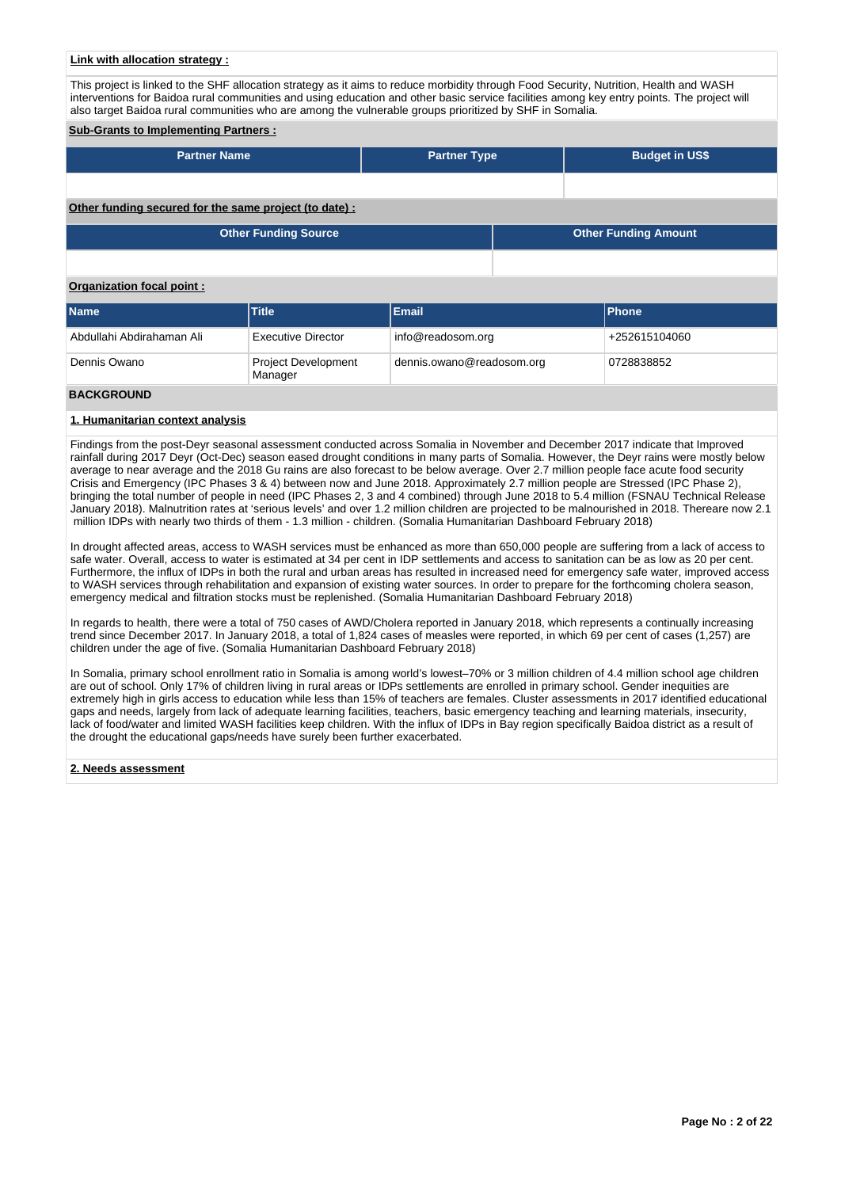#### **Link with allocation strategy :**

This project is linked to the SHF allocation strategy as it aims to reduce morbidity through Food Security, Nutrition, Health and WASH interventions for Baidoa rural communities and using education and other basic service facilities among key entry points. The project will also target Baidoa rural communities who are among the vulnerable groups prioritized by SHF in Somalia.

#### **Sub-Grants to Implementing Partners :**

| <b>Partner Name</b>                                    | <b>Partner Type</b> |  | <b>Budget in US\$</b>       |
|--------------------------------------------------------|---------------------|--|-----------------------------|
|                                                        |                     |  |                             |
| Other funding secured for the same project (to date) : |                     |  |                             |
| <b>Other Funding Source</b>                            |                     |  | <b>Other Funding Amount</b> |
|                                                        |                     |  |                             |

#### **Organization focal point :**

| <b>Name</b>               | <b>Title</b>                          | <b>Email</b>              | <b>IPhone</b> |
|---------------------------|---------------------------------------|---------------------------|---------------|
| Abdullahi Abdirahaman Ali | <b>Executive Director</b>             | info@readosom.org         | +252615104060 |
| Dennis Owano              | <b>Project Development</b><br>Manager | dennis.owano@readosom.org | 0728838852    |
|                           |                                       |                           |               |

#### **BACKGROUND**

#### **1. Humanitarian context analysis**

Findings from the post-Deyr seasonal assessment conducted across Somalia in November and December 2017 indicate that Improved rainfall during 2017 Deyr (Oct-Dec) season eased drought conditions in many parts of Somalia. However, the Deyr rains were mostly below average to near average and the 2018 Gu rains are also forecast to be below average. Over 2.7 million people face acute food security Crisis and Emergency (IPC Phases 3 & 4) between now and June 2018. Approximately 2.7 million people are Stressed (IPC Phase 2), bringing the total number of people in need (IPC Phases 2, 3 and 4 combined) through June 2018 to 5.4 million (FSNAU Technical Release January 2018). Malnutrition rates at 'serious levels' and over 1.2 million children are projected to be malnourished in 2018. Thereare now 2.1 million IDPs with nearly two thirds of them - 1.3 million - children. (Somalia Humanitarian Dashboard February 2018)

In drought affected areas, access to WASH services must be enhanced as more than 650,000 people are suffering from a lack of access to safe water. Overall, access to water is estimated at 34 per cent in IDP settlements and access to sanitation can be as low as 20 per cent. Furthermore, the influx of IDPs in both the rural and urban areas has resulted in increased need for emergency safe water, improved access to WASH services through rehabilitation and expansion of existing water sources. In order to prepare for the forthcoming cholera season, emergency medical and filtration stocks must be replenished. (Somalia Humanitarian Dashboard February 2018)

In regards to health, there were a total of 750 cases of AWD/Cholera reported in January 2018, which represents a continually increasing trend since December 2017. In January 2018, a total of 1,824 cases of measles were reported, in which 69 per cent of cases (1,257) are children under the age of five. (Somalia Humanitarian Dashboard February 2018)

In Somalia, primary school enrollment ratio in Somalia is among world's lowest–70% or 3 million children of 4.4 million school age children are out of school. Only 17% of children living in rural areas or IDPs settlements are enrolled in primary school. Gender inequities are extremely high in girls access to education while less than 15% of teachers are females. Cluster assessments in 2017 identified educational gaps and needs, largely from lack of adequate learning facilities, teachers, basic emergency teaching and learning materials, insecurity, lack of food/water and limited WASH facilities keep children. With the influx of IDPs in Bay region specifically Baidoa district as a result of the drought the educational gaps/needs have surely been further exacerbated.

#### **2. Needs assessment**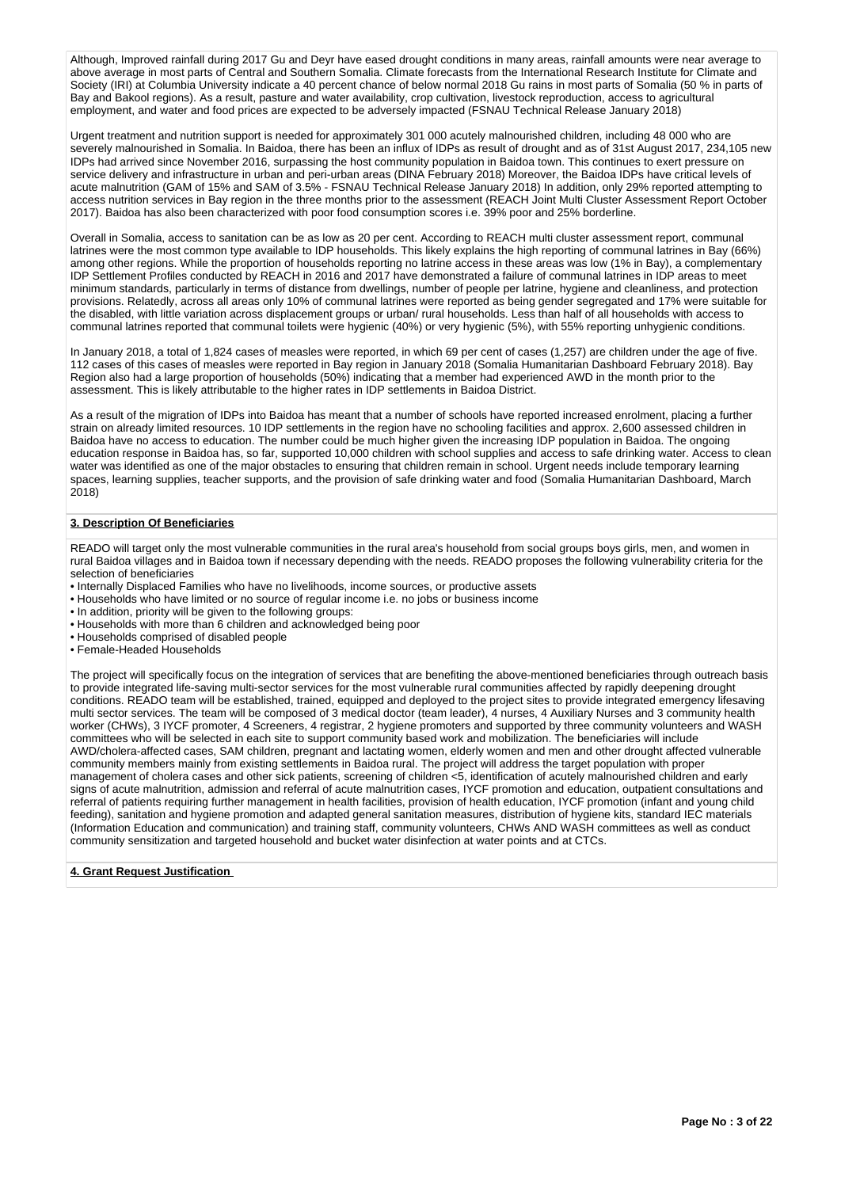Although, Improved rainfall during 2017 Gu and Deyr have eased drought conditions in many areas, rainfall amounts were near average to above average in most parts of Central and Southern Somalia. Climate forecasts from the International Research Institute for Climate and Society (IRI) at Columbia University indicate a 40 percent chance of below normal 2018 Gu rains in most parts of Somalia (50 % in parts of Bay and Bakool regions). As a result, pasture and water availability, crop cultivation, livestock reproduction, access to agricultural employment, and water and food prices are expected to be adversely impacted (FSNAU Technical Release January 2018)

Urgent treatment and nutrition support is needed for approximately 301 000 acutely malnourished children, including 48 000 who are severely malnourished in Somalia. In Baidoa, there has been an influx of IDPs as result of drought and as of 31st August 2017, 234,105 new IDPs had arrived since November 2016, surpassing the host community population in Baidoa town. This continues to exert pressure on service delivery and infrastructure in urban and peri-urban areas (DINA February 2018) Moreover, the Baidoa IDPs have critical levels of acute malnutrition (GAM of 15% and SAM of 3.5% - FSNAU Technical Release January 2018) In addition, only 29% reported attempting to access nutrition services in Bay region in the three months prior to the assessment (REACH Joint Multi Cluster Assessment Report October 2017). Baidoa has also been characterized with poor food consumption scores i.e. 39% poor and 25% borderline.

Overall in Somalia, access to sanitation can be as low as 20 per cent. According to REACH multi cluster assessment report, communal latrines were the most common type available to IDP households. This likely explains the high reporting of communal latrines in Bay (66%) among other regions. While the proportion of households reporting no latrine access in these areas was low (1% in Bay), a complementary IDP Settlement Profiles conducted by REACH in 2016 and 2017 have demonstrated a failure of communal latrines in IDP areas to meet minimum standards, particularly in terms of distance from dwellings, number of people per latrine, hygiene and cleanliness, and protection provisions. Relatedly, across all areas only 10% of communal latrines were reported as being gender segregated and 17% were suitable for the disabled, with little variation across displacement groups or urban/ rural households. Less than half of all households with access to communal latrines reported that communal toilets were hygienic (40%) or very hygienic (5%), with 55% reporting unhygienic conditions.

In January 2018, a total of 1,824 cases of measles were reported, in which 69 per cent of cases (1,257) are children under the age of five. 112 cases of this cases of measles were reported in Bay region in January 2018 (Somalia Humanitarian Dashboard February 2018). Bay Region also had a large proportion of households (50%) indicating that a member had experienced AWD in the month prior to the assessment. This is likely attributable to the higher rates in IDP settlements in Baidoa District.

As a result of the migration of IDPs into Baidoa has meant that a number of schools have reported increased enrolment, placing a further strain on already limited resources. 10 IDP settlements in the region have no schooling facilities and approx. 2,600 assessed children in Baidoa have no access to education. The number could be much higher given the increasing IDP population in Baidoa. The ongoing education response in Baidoa has, so far, supported 10,000 children with school supplies and access to safe drinking water. Access to clean water was identified as one of the major obstacles to ensuring that children remain in school. Urgent needs include temporary learning spaces, learning supplies, teacher supports, and the provision of safe drinking water and food (Somalia Humanitarian Dashboard, March 2018)

#### **3. Description Of Beneficiaries**

READO will target only the most vulnerable communities in the rural area's household from social groups boys girls, men, and women in rural Baidoa villages and in Baidoa town if necessary depending with the needs. READO proposes the following vulnerability criteria for the selection of beneficiaries

- Internally Displaced Families who have no livelihoods, income sources, or productive assets
- Households who have limited or no source of regular income i.e. no jobs or business income
- In addition, priority will be given to the following groups:
- Households with more than 6 children and acknowledged being poor
- Households comprised of disabled people
- Female-Headed Households

The project will specifically focus on the integration of services that are benefiting the above-mentioned beneficiaries through outreach basis to provide integrated life-saving multi-sector services for the most vulnerable rural communities affected by rapidly deepening drought conditions. READO team will be established, trained, equipped and deployed to the project sites to provide integrated emergency lifesaving multi sector services. The team will be composed of 3 medical doctor (team leader), 4 nurses, 4 Auxiliary Nurses and 3 community health worker (CHWs), 3 IYCF promoter, 4 Screeners, 4 registrar, 2 hygiene promoters and supported by three community volunteers and WASH committees who will be selected in each site to support community based work and mobilization. The beneficiaries will include AWD/cholera-affected cases, SAM children, pregnant and lactating women, elderly women and men and other drought affected vulnerable community members mainly from existing settlements in Baidoa rural. The project will address the target population with proper management of cholera cases and other sick patients, screening of children <5, identification of acutely malnourished children and early signs of acute malnutrition, admission and referral of acute malnutrition cases, IYCF promotion and education, outpatient consultations and referral of patients requiring further management in health facilities, provision of health education, IYCF promotion (infant and young child feeding), sanitation and hygiene promotion and adapted general sanitation measures, distribution of hygiene kits, standard IEC materials (Information Education and communication) and training staff, community volunteers, CHWs AND WASH committees as well as conduct community sensitization and targeted household and bucket water disinfection at water points and at CTCs.

#### **4. Grant Request Justification**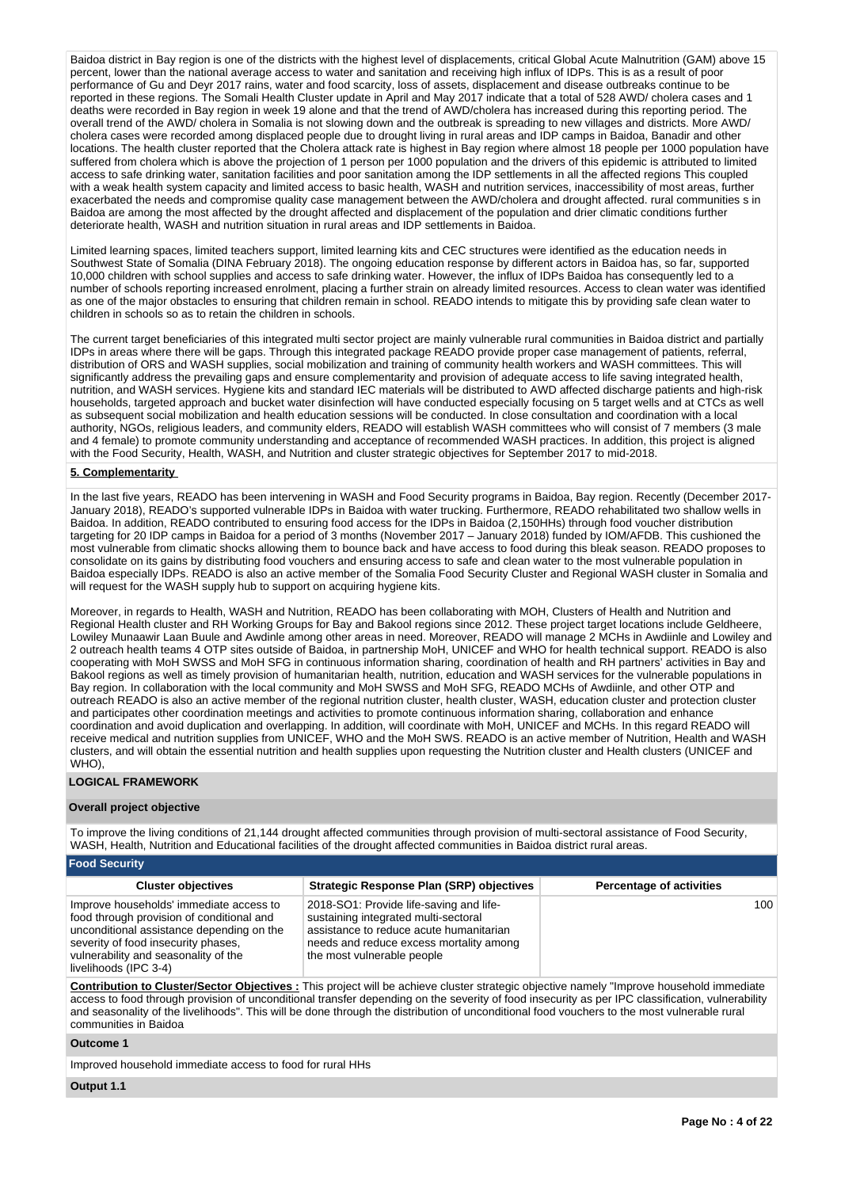Baidoa district in Bay region is one of the districts with the highest level of displacements, critical Global Acute Malnutrition (GAM) above 15 percent, lower than the national average access to water and sanitation and receiving high influx of IDPs. This is as a result of poor performance of Gu and Deyr 2017 rains, water and food scarcity, loss of assets, displacement and disease outbreaks continue to be reported in these regions. The Somali Health Cluster update in April and May 2017 indicate that a total of 528 AWD/ cholera cases and 1 deaths were recorded in Bay region in week 19 alone and that the trend of AWD/cholera has increased during this reporting period. The overall trend of the AWD/ cholera in Somalia is not slowing down and the outbreak is spreading to new villages and districts. More AWD/ cholera cases were recorded among displaced people due to drought living in rural areas and IDP camps in Baidoa, Banadir and other locations. The health cluster reported that the Cholera attack rate is highest in Bay region where almost 18 people per 1000 population have suffered from cholera which is above the projection of 1 person per 1000 population and the drivers of this epidemic is attributed to limited access to safe drinking water, sanitation facilities and poor sanitation among the IDP settlements in all the affected regions This coupled with a weak health system capacity and limited access to basic health, WASH and nutrition services, inaccessibility of most areas, further exacerbated the needs and compromise quality case management between the AWD/cholera and drought affected. rural communities s in Baidoa are among the most affected by the drought affected and displacement of the population and drier climatic conditions further deteriorate health, WASH and nutrition situation in rural areas and IDP settlements in Baidoa.

Limited learning spaces, limited teachers support, limited learning kits and CEC structures were identified as the education needs in Southwest State of Somalia (DINA February 2018). The ongoing education response by different actors in Baidoa has, so far, supported 10,000 children with school supplies and access to safe drinking water. However, the influx of IDPs Baidoa has consequently led to a number of schools reporting increased enrolment, placing a further strain on already limited resources. Access to clean water was identified as one of the major obstacles to ensuring that children remain in school. READO intends to mitigate this by providing safe clean water to children in schools so as to retain the children in schools.

The current target beneficiaries of this integrated multi sector project are mainly vulnerable rural communities in Baidoa district and partially IDPs in areas where there will be gaps. Through this integrated package READO provide proper case management of patients, referral, distribution of ORS and WASH supplies, social mobilization and training of community health workers and WASH committees. This will significantly address the prevailing gaps and ensure complementarity and provision of adequate access to life saving integrated health, nutrition, and WASH services. Hygiene kits and standard IEC materials will be distributed to AWD affected discharge patients and high-risk households, targeted approach and bucket water disinfection will have conducted especially focusing on 5 target wells and at CTCs as well as subsequent social mobilization and health education sessions will be conducted. In close consultation and coordination with a local authority, NGOs, religious leaders, and community elders, READO will establish WASH committees who will consist of 7 members (3 male and 4 female) to promote community understanding and acceptance of recommended WASH practices. In addition, this project is aligned with the Food Security, Health, WASH, and Nutrition and cluster strategic objectives for September 2017 to mid-2018.

#### **5. Complementarity**

In the last five years, READO has been intervening in WASH and Food Security programs in Baidoa, Bay region. Recently (December 2017- January 2018), READO's supported vulnerable IDPs in Baidoa with water trucking. Furthermore, READO rehabilitated two shallow wells in Baidoa. In addition, READO contributed to ensuring food access for the IDPs in Baidoa (2,150HHs) through food voucher distribution targeting for 20 IDP camps in Baidoa for a period of 3 months (November 2017 – January 2018) funded by IOM/AFDB. This cushioned the most vulnerable from climatic shocks allowing them to bounce back and have access to food during this bleak season. READO proposes to consolidate on its gains by distributing food vouchers and ensuring access to safe and clean water to the most vulnerable population in Baidoa especially IDPs. READO is also an active member of the Somalia Food Security Cluster and Regional WASH cluster in Somalia and will request for the WASH supply hub to support on acquiring hygiene kits.

Moreover, in regards to Health, WASH and Nutrition, READO has been collaborating with MOH, Clusters of Health and Nutrition and Regional Health cluster and RH Working Groups for Bay and Bakool regions since 2012. These project target locations include Geldheere, Lowiley Munaawir Laan Buule and Awdinle among other areas in need. Moreover, READO will manage 2 MCHs in Awdiinle and Lowiley and 2 outreach health teams 4 OTP sites outside of Baidoa, in partnership MoH, UNICEF and WHO for health technical support. READO is also cooperating with MoH SWSS and MoH SFG in continuous information sharing, coordination of health and RH partners' activities in Bay and Bakool regions as well as timely provision of humanitarian health, nutrition, education and WASH services for the vulnerable populations in Bay region. In collaboration with the local community and MoH SWSS and MoH SFG, READO MCHs of Awdiinle, and other OTP and outreach READO is also an active member of the regional nutrition cluster, health cluster, WASH, education cluster and protection cluster and participates other coordination meetings and activities to promote continuous information sharing, collaboration and enhance coordination and avoid duplication and overlapping. In addition, will coordinate with MoH, UNICEF and MCHs. In this regard READO will receive medical and nutrition supplies from UNICEF, WHO and the MoH SWS. READO is an active member of Nutrition, Health and WASH clusters, and will obtain the essential nutrition and health supplies upon requesting the Nutrition cluster and Health clusters (UNICEF and WHO),

#### **LOGICAL FRAMEWORK**

#### **Overall project objective**

To improve the living conditions of 21,144 drought affected communities through provision of multi-sectoral assistance of Food Security, WASH, Health, Nutrition and Educational facilities of the drought affected communities in Baidoa district rural areas.

| Food Security                                                                                                                                                                                                                             |                                                                                                                                                                                                     |                                 |  |  |  |  |
|-------------------------------------------------------------------------------------------------------------------------------------------------------------------------------------------------------------------------------------------|-----------------------------------------------------------------------------------------------------------------------------------------------------------------------------------------------------|---------------------------------|--|--|--|--|
| <b>Cluster objectives</b>                                                                                                                                                                                                                 | Strategic Response Plan (SRP) objectives                                                                                                                                                            | <b>Percentage of activities</b> |  |  |  |  |
| Improve households' immediate access to<br>food through provision of conditional and<br>unconditional assistance depending on the<br>severity of food insecurity phases,<br>vulnerability and seasonality of the<br>livelihoods (IPC 3-4) | 2018-SO1: Provide life-saving and life-<br>sustaining integrated multi-sectoral<br>assistance to reduce acute humanitarian<br>needs and reduce excess mortality among<br>the most vulnerable people | 100                             |  |  |  |  |

**Contribution to Cluster/Sector Objectives :** This project will be achieve cluster strategic objective namely "Improve household immediate access to food through provision of unconditional transfer depending on the severity of food insecurity as per IPC classification, vulnerability and seasonality of the livelihoods". This will be done through the distribution of unconditional food vouchers to the most vulnerable rural communities in Baidoa

#### **Outcome 1**

Improved household immediate access to food for rural HHs

**Output 1.1**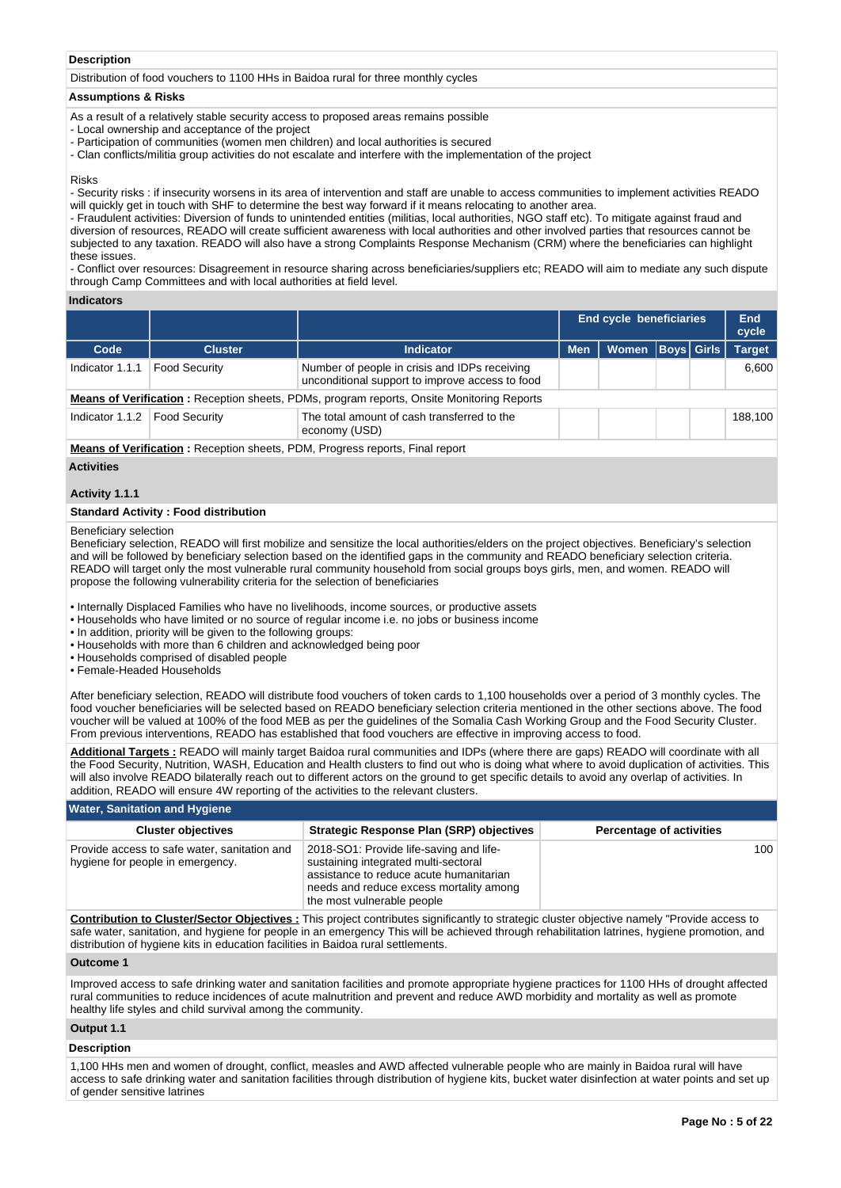#### **Description**

Distribution of food vouchers to 1100 HHs in Baidoa rural for three monthly cycles

#### **Assumptions & Risks**

As a result of a relatively stable security access to proposed areas remains possible

- Local ownership and acceptance of the project
- Participation of communities (women men children) and local authorities is secured
- Clan conflicts/militia group activities do not escalate and interfere with the implementation of the project

#### Risks

- Security risks : if insecurity worsens in its area of intervention and staff are unable to access communities to implement activities READO will quickly get in touch with SHF to determine the best way forward if it means relocating to another area.

- Fraudulent activities: Diversion of funds to unintended entities (militias, local authorities, NGO staff etc). To mitigate against fraud and diversion of resources, READO will create sufficient awareness with local authorities and other involved parties that resources cannot be subjected to any taxation. READO will also have a strong Complaints Response Mechanism (CRM) where the beneficiaries can highlight these issues.

- Conflict over resources: Disagreement in resource sharing across beneficiaries/suppliers etc; READO will aim to mediate any such dispute through Camp Committees and with local authorities at field level.

#### **Indicators**

|                                                                                                  |                      |                                                                                                  |            | End cycle beneficiaries |                   |  | End<br>cycle  |
|--------------------------------------------------------------------------------------------------|----------------------|--------------------------------------------------------------------------------------------------|------------|-------------------------|-------------------|--|---------------|
| Code                                                                                             | <b>Cluster</b>       | <b>Indicator</b>                                                                                 | <b>Men</b> | Women                   | <b>Boys Girls</b> |  | <b>Target</b> |
| Indicator 1.1.1                                                                                  | <b>Food Security</b> | Number of people in crisis and IDPs receiving<br>unconditional support to improve access to food |            |                         |                   |  | 6.600         |
| <b>Means of Verification:</b> Reception sheets, PDMs, program reports, Onsite Monitoring Reports |                      |                                                                                                  |            |                         |                   |  |               |
| Indicator 1.1.2                                                                                  | Food Security        | The total amount of cash transferred to the<br>economy (USD)                                     |            |                         |                   |  | 188.100       |
| <b>Means of Verification:</b> Reception sheets, PDM, Progress reports, Final report              |                      |                                                                                                  |            |                         |                   |  |               |
|                                                                                                  |                      |                                                                                                  |            |                         |                   |  |               |

#### **Activities**

#### **Activity 1.1.1**

#### **Standard Activity : Food distribution**

#### Beneficiary selection

Beneficiary selection, READO will first mobilize and sensitize the local authorities/elders on the project objectives. Beneficiary's selection and will be followed by beneficiary selection based on the identified gaps in the community and READO beneficiary selection criteria. READO will target only the most vulnerable rural community household from social groups boys girls, men, and women. READO will propose the following vulnerability criteria for the selection of beneficiaries

• Internally Displaced Families who have no livelihoods, income sources, or productive assets

• Households who have limited or no source of regular income i.e. no jobs or business income

• In addition, priority will be given to the following groups:

- Households with more than 6 children and acknowledged being poor
- Households comprised of disabled people

• Female-Headed Households

After beneficiary selection, READO will distribute food vouchers of token cards to 1,100 households over a period of 3 monthly cycles. The food voucher beneficiaries will be selected based on READO beneficiary selection criteria mentioned in the other sections above. The food voucher will be valued at 100% of the food MEB as per the guidelines of the Somalia Cash Working Group and the Food Security Cluster. From previous interventions, READO has established that food vouchers are effective in improving access to food.

**Additional Targets :** READO will mainly target Baidoa rural communities and IDPs (where there are gaps) READO will coordinate with all the Food Security, Nutrition, WASH, Education and Health clusters to find out who is doing what where to avoid duplication of activities. This will also involve READO bilaterally reach out to different actors on the ground to get specific details to avoid any overlap of activities. In addition, READO will ensure 4W reporting of the activities to the relevant clusters.

# **Water, Sanitation and Hygiene**

| <b>Cluster objectives</b>                                                        | Strategic Response Plan (SRP) objectives                                                                                                                                                            | <b>Percentage of activities</b> |
|----------------------------------------------------------------------------------|-----------------------------------------------------------------------------------------------------------------------------------------------------------------------------------------------------|---------------------------------|
| Provide access to safe water, sanitation and<br>hygiene for people in emergency. | 2018-SO1: Provide life-saving and life-<br>sustaining integrated multi-sectoral<br>assistance to reduce acute humanitarian<br>needs and reduce excess mortality among<br>the most vulnerable people | 100                             |

**Contribution to Cluster/Sector Objectives :** This project contributes significantly to strategic cluster objective namely "Provide access to safe water, sanitation, and hygiene for people in an emergency This will be achieved through rehabilitation latrines, hygiene promotion, and distribution of hygiene kits in education facilities in Baidoa rural settlements.

#### **Outcome 1**

Improved access to safe drinking water and sanitation facilities and promote appropriate hygiene practices for 1100 HHs of drought affected rural communities to reduce incidences of acute malnutrition and prevent and reduce AWD morbidity and mortality as well as promote healthy life styles and child survival among the community.

#### **Output 1.1**

#### **Description**

1,100 HHs men and women of drought, conflict, measles and AWD affected vulnerable people who are mainly in Baidoa rural will have access to safe drinking water and sanitation facilities through distribution of hygiene kits, bucket water disinfection at water points and set up of gender sensitive latrines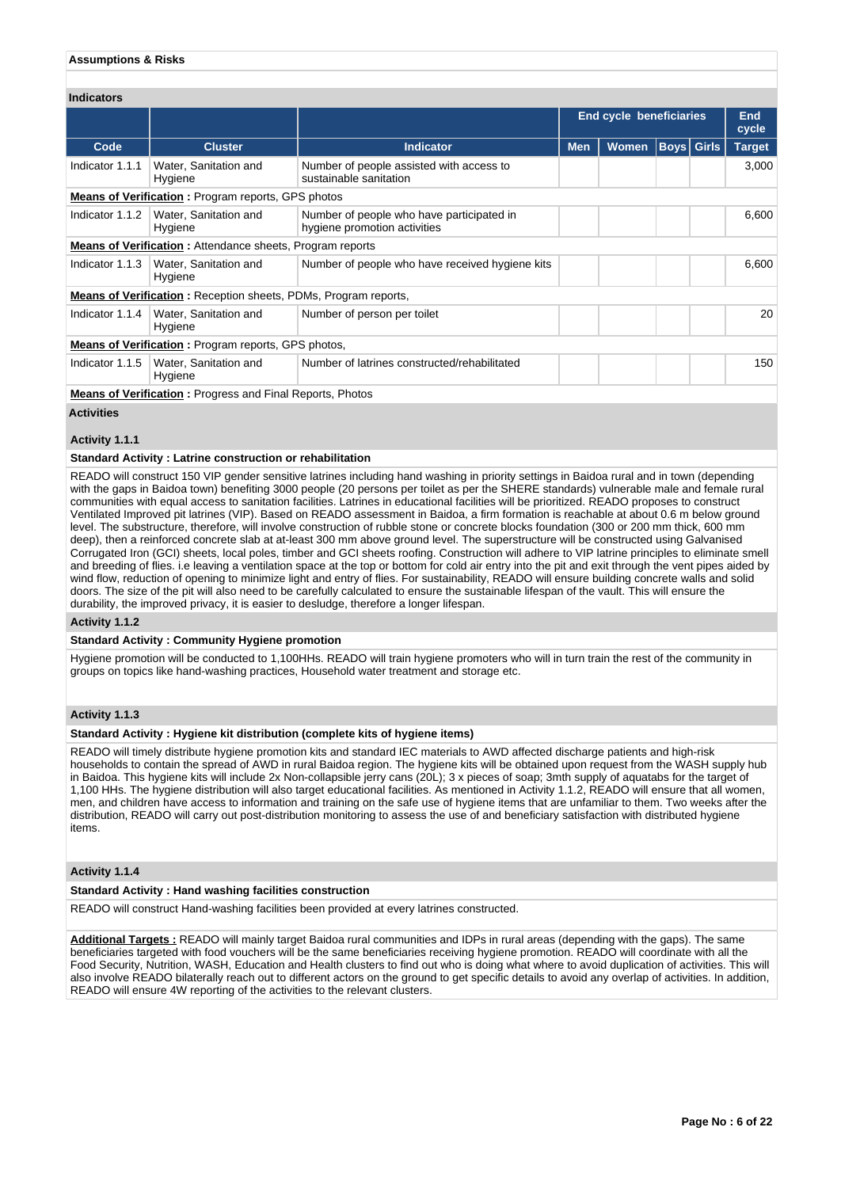#### **Assumptions & Risks**

| <b>Indicators</b>                                                |                                                                        |                                                                           |            |                                |                   |  |                     |
|------------------------------------------------------------------|------------------------------------------------------------------------|---------------------------------------------------------------------------|------------|--------------------------------|-------------------|--|---------------------|
|                                                                  |                                                                        |                                                                           |            | <b>End cycle beneficiaries</b> |                   |  | <b>End</b><br>cycle |
| Code                                                             | <b>Cluster</b>                                                         | <b>Indicator</b>                                                          | <b>Men</b> | <b>Women</b>                   | <b>Boys</b> Girls |  | <b>Target</b>       |
| Indicator 1.1.1                                                  | Water, Sanitation and<br>Hygiene                                       | Number of people assisted with access to<br>sustainable sanitation        |            |                                |                   |  | 3,000               |
|                                                                  | <b>Means of Verification:</b> Program reports, GPS photos              |                                                                           |            |                                |                   |  |                     |
| Indicator 1.1.2                                                  | Water, Sanitation and<br>Hygiene                                       | Number of people who have participated in<br>hygiene promotion activities |            |                                |                   |  | 6,600               |
|                                                                  | <b>Means of Verification:</b> Attendance sheets, Program reports       |                                                                           |            |                                |                   |  |                     |
| Indicator 1.1.3                                                  | Water, Sanitation and<br>Hygiene                                       | Number of people who have received hygiene kits                           |            |                                |                   |  | 6,600               |
|                                                                  | <b>Means of Verification:</b> Reception sheets, PDMs, Program reports, |                                                                           |            |                                |                   |  |                     |
| Indicator 1.1.4                                                  | Water, Sanitation and<br>Hygiene                                       | Number of person per toilet                                               |            |                                |                   |  | 20                  |
| <b>Means of Verification:</b> Program reports, GPS photos,       |                                                                        |                                                                           |            |                                |                   |  |                     |
| Indicator 1.1.5                                                  | Water, Sanitation and<br>Hygiene                                       | Number of latrines constructed/rehabilitated                              |            |                                |                   |  | 150                 |
| <b>Means of Verification:</b> Progress and Final Reports, Photos |                                                                        |                                                                           |            |                                |                   |  |                     |

#### **Activities**

#### **Activity 1.1.1**

#### **Standard Activity : Latrine construction or rehabilitation**

READO will construct 150 VIP gender sensitive latrines including hand washing in priority settings in Baidoa rural and in town (depending with the gaps in Baidoa town) benefiting 3000 people (20 persons per toilet as per the SHERE standards) vulnerable male and female rural communities with equal access to sanitation facilities. Latrines in educational facilities will be prioritized. READO proposes to construct Ventilated Improved pit latrines (VIP). Based on READO assessment in Baidoa, a firm formation is reachable at about 0.6 m below ground level. The substructure, therefore, will involve construction of rubble stone or concrete blocks foundation (300 or 200 mm thick, 600 mm deep), then a reinforced concrete slab at at-least 300 mm above ground level. The superstructure will be constructed using Galvanised Corrugated Iron (GCI) sheets, local poles, timber and GCI sheets roofing. Construction will adhere to VIP latrine principles to eliminate smell and breeding of flies. i.e leaving a ventilation space at the top or bottom for cold air entry into the pit and exit through the vent pipes aided by wind flow, reduction of opening to minimize light and entry of flies. For sustainability, READO will ensure building concrete walls and solid doors. The size of the pit will also need to be carefully calculated to ensure the sustainable lifespan of the vault. This will ensure the durability, the improved privacy, it is easier to desludge, therefore a longer lifespan.

#### **Activity 1.1.2**

#### **Standard Activity : Community Hygiene promotion**

Hygiene promotion will be conducted to 1,100HHs. READO will train hygiene promoters who will in turn train the rest of the community in groups on topics like hand-washing practices, Household water treatment and storage etc.

#### **Activity 1.1.3**

#### **Standard Activity : Hygiene kit distribution (complete kits of hygiene items)**

READO will timely distribute hygiene promotion kits and standard IEC materials to AWD affected discharge patients and high-risk households to contain the spread of AWD in rural Baidoa region. The hygiene kits will be obtained upon request from the WASH supply hub in Baidoa. This hygiene kits will include 2x Non-collapsible jerry cans (20L); 3 x pieces of soap; 3mth supply of aquatabs for the target of 1,100 HHs. The hygiene distribution will also target educational facilities. As mentioned in Activity 1.1.2, READO will ensure that all women, men, and children have access to information and training on the safe use of hygiene items that are unfamiliar to them. Two weeks after the distribution, READO will carry out post-distribution monitoring to assess the use of and beneficiary satisfaction with distributed hygiene items.

#### **Activity 1.1.4**

#### **Standard Activity : Hand washing facilities construction**

READO will construct Hand-washing facilities been provided at every latrines constructed.

**Additional Targets :** READO will mainly target Baidoa rural communities and IDPs in rural areas (depending with the gaps). The same beneficiaries targeted with food vouchers will be the same beneficiaries receiving hygiene promotion. READO will coordinate with all the Food Security, Nutrition, WASH, Education and Health clusters to find out who is doing what where to avoid duplication of activities. This will also involve READO bilaterally reach out to different actors on the ground to get specific details to avoid any overlap of activities. In addition, READO will ensure 4W reporting of the activities to the relevant clusters.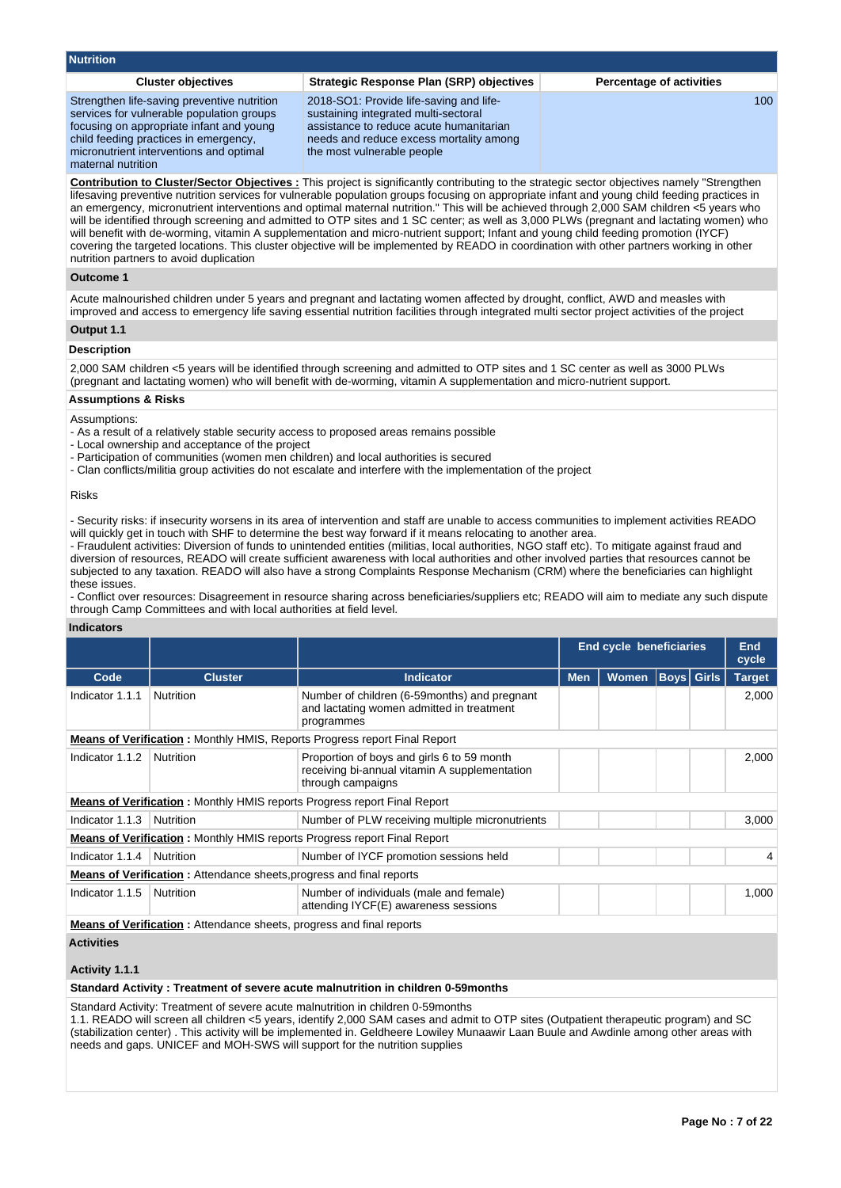| <b>Nutrition</b>                                                                                                                                                                                                                               |                                                                                                                                                                                                     |                                 |
|------------------------------------------------------------------------------------------------------------------------------------------------------------------------------------------------------------------------------------------------|-----------------------------------------------------------------------------------------------------------------------------------------------------------------------------------------------------|---------------------------------|
| <b>Cluster objectives</b>                                                                                                                                                                                                                      | <b>Strategic Response Plan (SRP) objectives</b>                                                                                                                                                     | <b>Percentage of activities</b> |
| Strengthen life-saving preventive nutrition<br>services for vulnerable population groups<br>focusing on appropriate infant and young<br>child feeding practices in emergency,<br>micronutrient interventions and optimal<br>maternal nutrition | 2018-SO1: Provide life-saving and life-<br>sustaining integrated multi-sectoral<br>assistance to reduce acute humanitarian<br>needs and reduce excess mortality among<br>the most vulnerable people | 100                             |
|                                                                                                                                                                                                                                                | <b>Contribution to Cluster/Sector Objectives:</b> This project is significantly contributing to the strategic sector objectives namely "Strengthen                                                  |                                 |

lifesaving preventive nutrition services for vulnerable population groups focusing on appropriate infant and young child feeding practices in an emergency, micronutrient interventions and optimal maternal nutrition." This will be achieved through 2,000 SAM children <5 years who will be identified through screening and admitted to OTP sites and 1 SC center; as well as 3,000 PLWs (pregnant and lactating women) who will benefit with de-worming, vitamin A supplementation and micro-nutrient support; Infant and young child feeding promotion (IYCF) covering the targeted locations. This cluster objective will be implemented by READO in coordination with other partners working in other nutrition partners to avoid duplication

#### **Outcome 1**

Acute malnourished children under 5 years and pregnant and lactating women affected by drought, conflict, AWD and measles with improved and access to emergency life saving essential nutrition facilities through integrated multi sector project activities of the project

#### **Output 1.1**

#### **Description**

2,000 SAM children <5 years will be identified through screening and admitted to OTP sites and 1 SC center as well as 3000 PLWs (pregnant and lactating women) who will benefit with de-worming, vitamin A supplementation and micro-nutrient support.

#### **Assumptions & Risks**

Assumptions:

- As a result of a relatively stable security access to proposed areas remains possible
- Local ownership and acceptance of the project
- Participation of communities (women men children) and local authorities is secured
- Clan conflicts/militia group activities do not escalate and interfere with the implementation of the project

#### Risks

- Security risks: if insecurity worsens in its area of intervention and staff are unable to access communities to implement activities READO will quickly get in touch with SHF to determine the best way forward if it means relocating to another area.

- Fraudulent activities: Diversion of funds to unintended entities (militias, local authorities, NGO staff etc). To mitigate against fraud and diversion of resources, READO will create sufficient awareness with local authorities and other involved parties that resources cannot be subjected to any taxation. READO will also have a strong Complaints Response Mechanism (CRM) where the beneficiaries can highlight these issues.

- Conflict over resources: Disagreement in resource sharing across beneficiaries/suppliers etc; READO will aim to mediate any such dispute through Camp Committees and with local authorities at field level.

#### **Indicators**

|                                                                             |                                                                             |                                                                                                                  | <b>End cycle beneficiaries</b> |              | <b>End</b><br>cycle |             |               |
|-----------------------------------------------------------------------------|-----------------------------------------------------------------------------|------------------------------------------------------------------------------------------------------------------|--------------------------------|--------------|---------------------|-------------|---------------|
| Code                                                                        | <b>Cluster</b>                                                              | <b>Indicator</b>                                                                                                 | <b>Men</b>                     | <b>Women</b> |                     | Boys  Girls | <b>Target</b> |
| Indicator 1.1.1                                                             | Nutrition                                                                   | Number of children (6-59 months) and pregnant<br>and lactating women admitted in treatment<br>programmes         |                                |              |                     |             | 2,000         |
|                                                                             |                                                                             | <b>Means of Verification:</b> Monthly HMIS, Reports Progress report Final Report                                 |                                |              |                     |             |               |
| Indicator 1.1.2                                                             | Nutrition                                                                   | Proportion of boys and girls 6 to 59 month<br>receiving bi-annual vitamin A supplementation<br>through campaigns |                                |              |                     |             | 2,000         |
|                                                                             |                                                                             | <b>Means of Verification:</b> Monthly HMIS reports Progress report Final Report                                  |                                |              |                     |             |               |
| Indicator 1.1.3                                                             | Nutrition                                                                   | Number of PLW receiving multiple micronutrients                                                                  |                                |              |                     |             | 3,000         |
|                                                                             |                                                                             | <b>Means of Verification:</b> Monthly HMIS reports Progress report Final Report                                  |                                |              |                     |             |               |
| Indicator 1.1.4                                                             | Nutrition                                                                   | Number of IYCF promotion sessions held                                                                           |                                |              |                     |             | 4             |
|                                                                             | <b>Means of Verification:</b> Attendance sheets, progress and final reports |                                                                                                                  |                                |              |                     |             |               |
| Indicator 1.1.5                                                             | Nutrition                                                                   | Number of individuals (male and female)<br>attending IYCF(E) awareness sessions                                  |                                |              |                     |             | 1,000         |
| <b>Means of Verification:</b> Attendance sheets, progress and final reports |                                                                             |                                                                                                                  |                                |              |                     |             |               |
| <b>Activities</b><br>Activity 1.1.1                                         |                                                                             |                                                                                                                  |                                |              |                     |             |               |

#### **Standard Activity : Treatment of severe acute malnutrition in children 0-59months**

Standard Activity: Treatment of severe acute malnutrition in children 0-59months

1.1. READO will screen all children <5 years, identify 2,000 SAM cases and admit to OTP sites (Outpatient therapeutic program) and SC (stabilization center) . This activity will be implemented in. Geldheere Lowiley Munaawir Laan Buule and Awdinle among other areas with needs and gaps. UNICEF and MOH-SWS will support for the nutrition supplies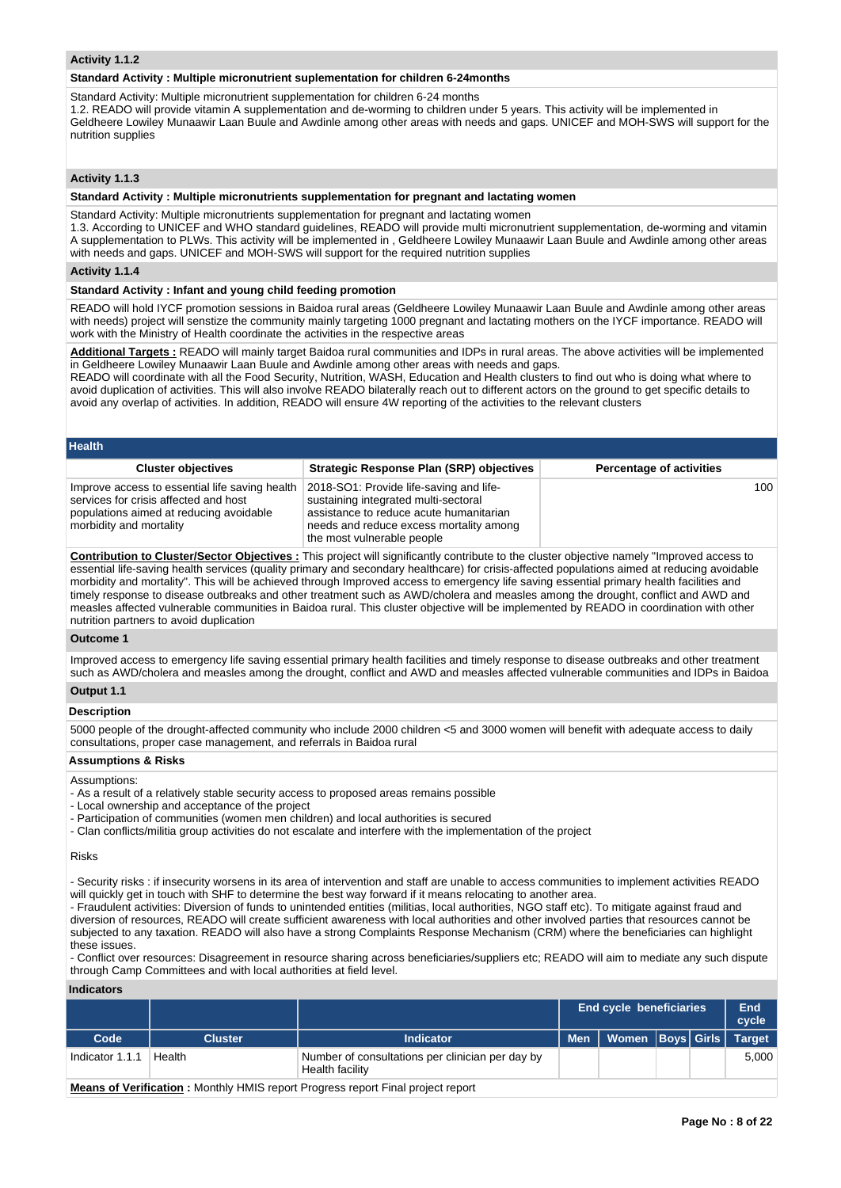#### **Activity 1.1.2**

#### **Standard Activity : Multiple micronutrient suplementation for children 6-24months**

Standard Activity: Multiple micronutrient supplementation for children 6-24 months

1.2. READO will provide vitamin A supplementation and de-worming to children under 5 years. This activity will be implemented in Geldheere Lowiley Munaawir Laan Buule and Awdinle among other areas with needs and gaps. UNICEF and MOH-SWS will support for the nutrition supplies

#### **Activity 1.1.3**

**Standard Activity : Multiple micronutrients supplementation for pregnant and lactating women**

Standard Activity: Multiple micronutrients supplementation for pregnant and lactating women 1.3. According to UNICEF and WHO standard guidelines, READO will provide multi micronutrient supplementation, de-worming and vitamin A supplementation to PLWs. This activity will be implemented in , Geldheere Lowiley Munaawir Laan Buule and Awdinle among other areas with needs and gaps. UNICEF and MOH-SWS will support for the required nutrition supplies

#### **Activity 1.1.4**

#### **Standard Activity : Infant and young child feeding promotion**

READO will hold IYCF promotion sessions in Baidoa rural areas (Geldheere Lowiley Munaawir Laan Buule and Awdinle among other areas with needs) project will senstize the community mainly targeting 1000 pregnant and lactating mothers on the IYCF importance. READO will work with the Ministry of Health coordinate the activities in the respective areas

**Additional Targets :** READO will mainly target Baidoa rural communities and IDPs in rural areas. The above activities will be implemented in Geldheere Lowiley Munaawir Laan Buule and Awdinle among other areas with needs and gaps.

READO will coordinate with all the Food Security, Nutrition, WASH, Education and Health clusters to find out who is doing what where to avoid duplication of activities. This will also involve READO bilaterally reach out to different actors on the ground to get specific details to avoid any overlap of activities. In addition, READO will ensure 4W reporting of the activities to the relevant clusters

| <b>Health</b>                                                                                                                                                 |                                                                                                                                                                                                     |                                 |  |  |  |  |  |
|---------------------------------------------------------------------------------------------------------------------------------------------------------------|-----------------------------------------------------------------------------------------------------------------------------------------------------------------------------------------------------|---------------------------------|--|--|--|--|--|
| <b>Cluster objectives</b>                                                                                                                                     | <b>Strategic Response Plan (SRP) objectives</b>                                                                                                                                                     | <b>Percentage of activities</b> |  |  |  |  |  |
| Improve access to essential life saving health<br>services for crisis affected and host<br>populations aimed at reducing avoidable<br>morbidity and mortality | 2018-SO1: Provide life-saving and life-<br>sustaining integrated multi-sectoral<br>assistance to reduce acute humanitarian<br>needs and reduce excess mortality among<br>the most vulnerable people | 100                             |  |  |  |  |  |

**Contribution to Cluster/Sector Objectives :** This project will significantly contribute to the cluster objective namely "Improved access to essential life-saving health services (quality primary and secondary healthcare) for crisis-affected populations aimed at reducing avoidable morbidity and mortality". This will be achieved through Improved access to emergency life saving essential primary health facilities and timely response to disease outbreaks and other treatment such as AWD/cholera and measles among the drought, conflict and AWD and measles affected vulnerable communities in Baidoa rural. This cluster objective will be implemented by READO in coordination with other nutrition partners to avoid duplication

**Outcome 1**

Improved access to emergency life saving essential primary health facilities and timely response to disease outbreaks and other treatment such as AWD/cholera and measles among the drought, conflict and AWD and measles affected vulnerable communities and IDPs in Baidoa

# **Output 1.1**

**Description**

5000 people of the drought-affected community who include 2000 children <5 and 3000 women will benefit with adequate access to daily consultations, proper case management, and referrals in Baidoa rural

#### **Assumptions & Risks**

#### Assumptions:

- As a result of a relatively stable security access to proposed areas remains possible

- Local ownership and acceptance of the project

- Participation of communities (women men children) and local authorities is secured
- Clan conflicts/militia group activities do not escalate and interfere with the implementation of the project

#### Risks

- Security risks : if insecurity worsens in its area of intervention and staff are unable to access communities to implement activities READO will quickly get in touch with SHF to determine the best way forward if it means relocating to another area.

- Fraudulent activities: Diversion of funds to unintended entities (militias, local authorities, NGO staff etc). To mitigate against fraud and diversion of resources, READO will create sufficient awareness with local authorities and other involved parties that resources cannot be subjected to any taxation. READO will also have a strong Complaints Response Mechanism (CRM) where the beneficiaries can highlight these issues.

- Conflict over resources: Disagreement in resource sharing across beneficiaries/suppliers etc; READO will aim to mediate any such dispute through Camp Committees and with local authorities at field level.

#### **Indicators**

|                 |                |                                                                                                                                                                                                                                   | <b>End cycle beneficiaries</b> | <b>End</b><br>cycle           |  |       |
|-----------------|----------------|-----------------------------------------------------------------------------------------------------------------------------------------------------------------------------------------------------------------------------------|--------------------------------|-------------------------------|--|-------|
| Code            | <b>Cluster</b> | Indicator                                                                                                                                                                                                                         | <b>Men</b>                     | Women   Boys   Girls   Target |  |       |
| Indicator 1.1.1 | Health         | Number of consultations per clinician per day by<br>Health facility                                                                                                                                                               |                                |                               |  | 5.000 |
|                 |                | $\mathbf{B}$ , and the state of the state of the state of the state of the state of the state of the state of the state of the state of the state of the state of the state of the state of the state of the state of the state o |                                |                               |  |       |

**Means of Verification :** Monthly HMIS report Progress report Final project report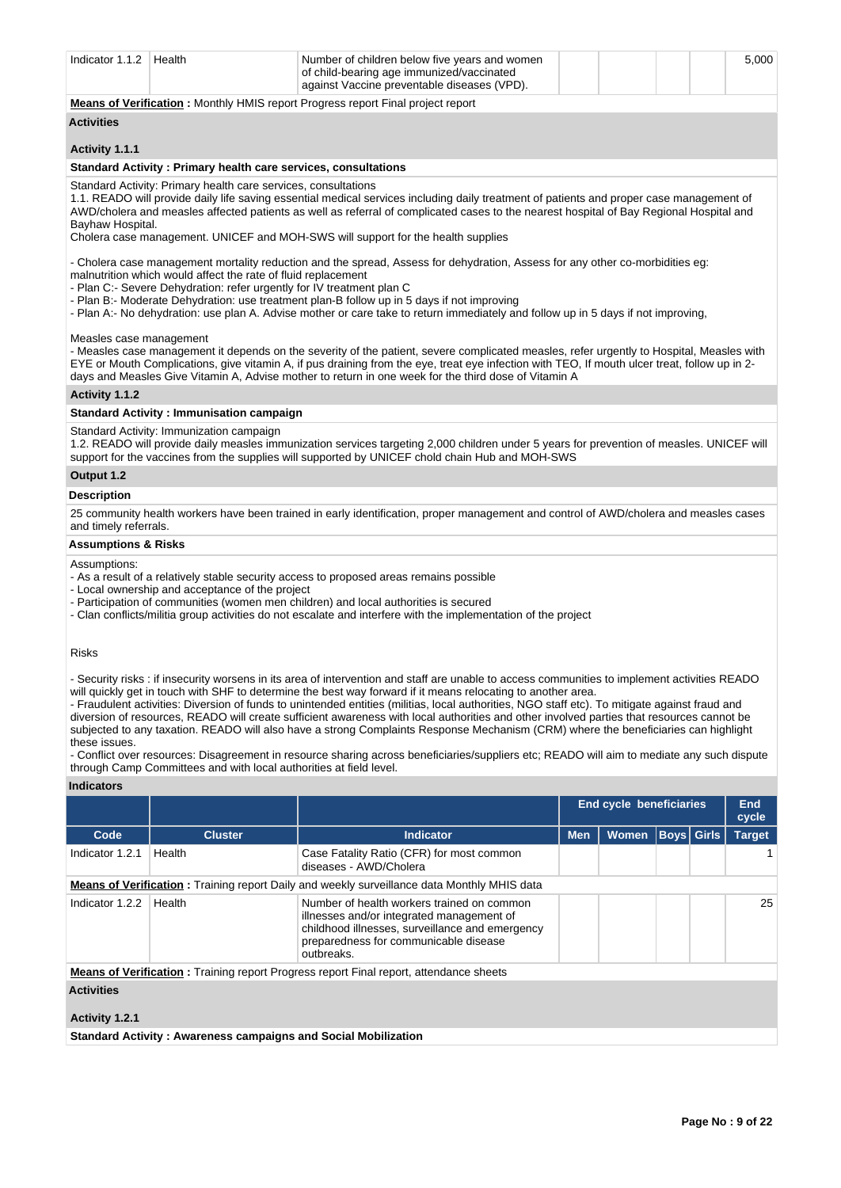| Number of children below five years and women<br>Health<br>Indicator 1.1.2 $\parallel$<br>of child-bearing age immunized/vaccinated<br>against Vaccine preventable diseases (VPD). |  | 5.000 |
|------------------------------------------------------------------------------------------------------------------------------------------------------------------------------------|--|-------|
|------------------------------------------------------------------------------------------------------------------------------------------------------------------------------------|--|-------|

**Means of Verification :** Monthly HMIS report Progress report Final project report

#### **Activities**

#### **Activity 1.1.1**

#### **Standard Activity : Primary health care services, consultations**

Standard Activity: Primary health care services, consultations

1.1. READO will provide daily life saving essential medical services including daily treatment of patients and proper case management of AWD/cholera and measles affected patients as well as referral of complicated cases to the nearest hospital of Bay Regional Hospital and Bayhaw Hospital.

Cholera case management. UNICEF and MOH-SWS will support for the health supplies

- Cholera case management mortality reduction and the spread, Assess for dehydration, Assess for any other co-morbidities eg: malnutrition which would affect the rate of fluid replacement

- Plan C:- Severe Dehydration: refer urgently for IV treatment plan C
- Plan B:- Moderate Dehydration: use treatment plan-B follow up in 5 days if not improving
- Plan A:- No dehydration: use plan A. Advise mother or care take to return immediately and follow up in 5 days if not improving,

#### Measles case management

- Measles case management it depends on the severity of the patient, severe complicated measles, refer urgently to Hospital, Measles with EYE or Mouth Complications, give vitamin A, if pus draining from the eye, treat eye infection with TEO, If mouth ulcer treat, follow up in 2 days and Measles Give Vitamin A, Advise mother to return in one week for the third dose of Vitamin A

#### **Activity 1.1.2**

#### **Standard Activity : Immunisation campaign**

#### Standard Activity: Immunization campaign

1.2. READO will provide daily measles immunization services targeting 2,000 children under 5 years for prevention of measles. UNICEF will support for the vaccines from the supplies will supported by UNICEF chold chain Hub and MOH-SWS

#### **Output 1.2**

#### **Description**

25 community health workers have been trained in early identification, proper management and control of AWD/cholera and measles cases and timely referrals.

#### **Assumptions & Risks**

#### Assumptions:

- As a result of a relatively stable security access to proposed areas remains possible
- Local ownership and acceptance of the project
- Participation of communities (women men children) and local authorities is secured
- Clan conflicts/militia group activities do not escalate and interfere with the implementation of the project

#### Risks

- Security risks : if insecurity worsens in its area of intervention and staff are unable to access communities to implement activities READO will quickly get in touch with SHF to determine the best way forward if it means relocating to another area.

- Fraudulent activities: Diversion of funds to unintended entities (militias, local authorities, NGO staff etc). To mitigate against fraud and diversion of resources, READO will create sufficient awareness with local authorities and other involved parties that resources cannot be subjected to any taxation. READO will also have a strong Complaints Response Mechanism (CRM) where the beneficiaries can highlight these issues.

- Conflict over resources: Disagreement in resource sharing across beneficiaries/suppliers etc; READO will aim to mediate any such dispute through Camp Committees and with local authorities at field level.

#### **Indicators**

| inuivatvi J                                                                                        |                |                                                                                                                                                                                                   |                         |              |              |                   |               |  |  |  |
|----------------------------------------------------------------------------------------------------|----------------|---------------------------------------------------------------------------------------------------------------------------------------------------------------------------------------------------|-------------------------|--------------|--------------|-------------------|---------------|--|--|--|
|                                                                                                    |                |                                                                                                                                                                                                   | End cycle beneficiaries |              | End<br>cycle |                   |               |  |  |  |
| Code                                                                                               | <b>Cluster</b> | <b>Indicator</b>                                                                                                                                                                                  | <b>Men</b>              | <b>Women</b> |              | <b>Boys</b> Girls | <b>Target</b> |  |  |  |
| Indicator 1.2.1                                                                                    | Health         | Case Fatality Ratio (CFR) for most common<br>diseases - AWD/Cholera                                                                                                                               |                         |              |              |                   |               |  |  |  |
| <b>Means of Verification:</b> Training report Daily and weekly surveillance data Monthly MHIS data |                |                                                                                                                                                                                                   |                         |              |              |                   |               |  |  |  |
| Indicator 1.2.2                                                                                    | Health         | Number of health workers trained on common<br>illnesses and/or integrated management of<br>childhood illnesses, surveillance and emergency<br>preparedness for communicable disease<br>outbreaks. |                         |              |              |                   | 25            |  |  |  |
|                                                                                                    |                | <b>Means of Verification:</b> Training report Progress report Final report, attendance sheets                                                                                                     |                         |              |              |                   |               |  |  |  |
| <b>Activities</b>                                                                                  |                |                                                                                                                                                                                                   |                         |              |              |                   |               |  |  |  |
| Activity 1.2.1                                                                                     |                |                                                                                                                                                                                                   |                         |              |              |                   |               |  |  |  |

**Standard Activity : Awareness campaigns and Social Mobilization**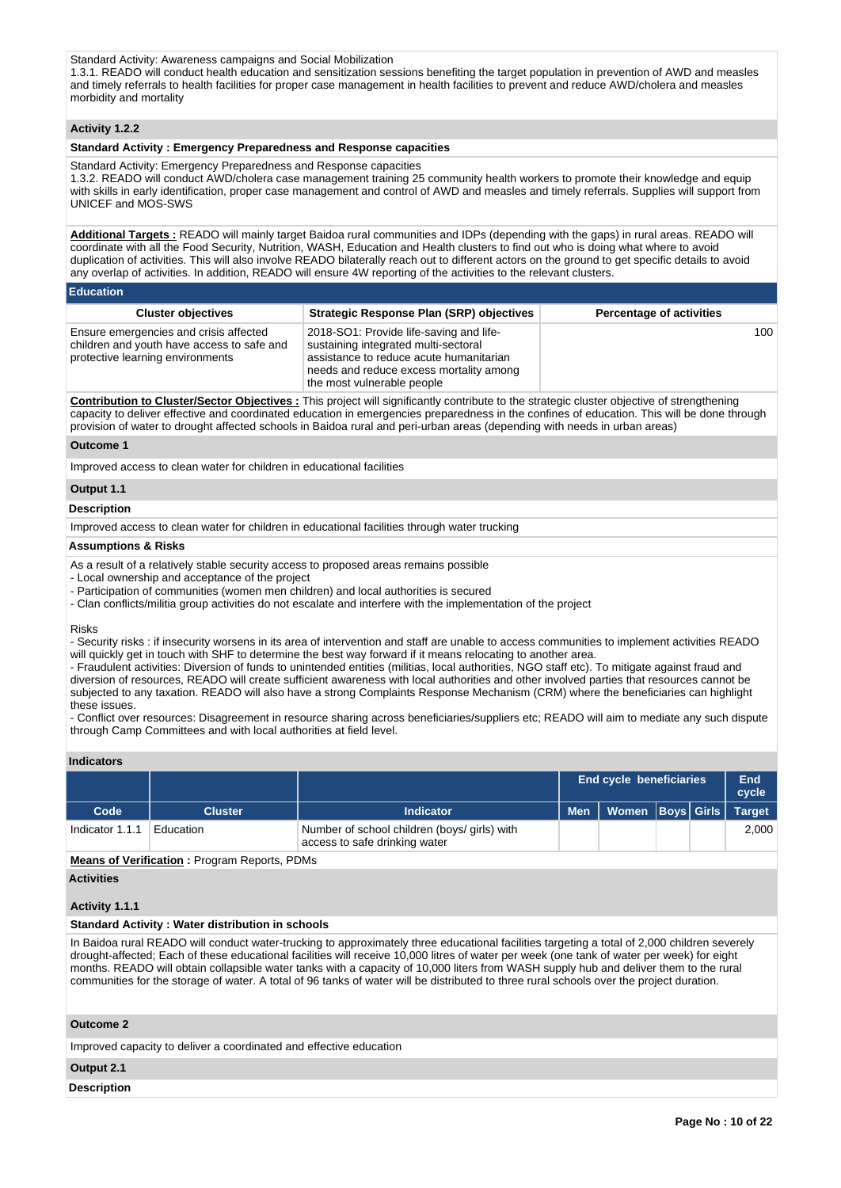Standard Activity: Awareness campaigns and Social Mobilization

1.3.1. READO will conduct health education and sensitization sessions benefiting the target population in prevention of AWD and measles and timely referrals to health facilities for proper case management in health facilities to prevent and reduce AWD/cholera and measles morbidity and mortality

#### **Activity 1.2.2**

#### **Standard Activity : Emergency Preparedness and Response capacities**

Standard Activity: Emergency Preparedness and Response capacities

1.3.2. READO will conduct AWD/cholera case management training 25 community health workers to promote their knowledge and equip with skills in early identification, proper case management and control of AWD and measles and timely referrals. Supplies will support from UNICEF and MOS-SWS

**Additional Targets :** READO will mainly target Baidoa rural communities and IDPs (depending with the gaps) in rural areas. READO will coordinate with all the Food Security, Nutrition, WASH, Education and Health clusters to find out who is doing what where to avoid duplication of activities. This will also involve READO bilaterally reach out to different actors on the ground to get specific details to avoid any overlap of activities. In addition, READO will ensure 4W reporting of the activities to the relevant clusters.

| <b>Education</b> |
|------------------|
|                  |
|                  |

| <b>Cluster objectives</b>                                                                                                | <b>Strategic Response Plan (SRP) objectives</b>                                                                                                                                                     | <b>Percentage of activities</b> |
|--------------------------------------------------------------------------------------------------------------------------|-----------------------------------------------------------------------------------------------------------------------------------------------------------------------------------------------------|---------------------------------|
| Ensure emergencies and crisis affected<br>children and youth have access to safe and<br>protective learning environments | 2018-SO1: Provide life-saving and life-<br>sustaining integrated multi-sectoral<br>assistance to reduce acute humanitarian<br>needs and reduce excess mortality among<br>the most vulnerable people | 100                             |

**Contribution to Cluster/Sector Objectives :** This project will significantly contribute to the strategic cluster objective of strengthening capacity to deliver effective and coordinated education in emergencies preparedness in the confines of education. This will be done through provision of water to drought affected schools in Baidoa rural and peri-urban areas (depending with needs in urban areas)

#### **Outcome 1**

Improved access to clean water for children in educational facilities

## **Output 1.1**

#### **Description**

Improved access to clean water for children in educational facilities through water trucking

#### **Assumptions & Risks**

- As a result of a relatively stable security access to proposed areas remains possible
- Local ownership and acceptance of the project
- Participation of communities (women men children) and local authorities is secured
- Clan conflicts/militia group activities do not escalate and interfere with the implementation of the project

#### Risks

- Security risks : if insecurity worsens in its area of intervention and staff are unable to access communities to implement activities READO will quickly get in touch with SHF to determine the best way forward if it means relocating to another area.

- Fraudulent activities: Diversion of funds to unintended entities (militias, local authorities, NGO staff etc). To mitigate against fraud and diversion of resources, READO will create sufficient awareness with local authorities and other involved parties that resources cannot be subjected to any taxation. READO will also have a strong Complaints Response Mechanism (CRM) where the beneficiaries can highlight these issues.

- Conflict over resources: Disagreement in resource sharing across beneficiaries/suppliers etc; READO will aim to mediate any such dispute through Camp Committees and with local authorities at field level.

#### **Indicators**

|                 |           |                                                                               |            | <b>End cycle beneficiaries</b><br>End<br>cycle |  |  |               |  |  |  |
|-----------------|-----------|-------------------------------------------------------------------------------|------------|------------------------------------------------|--|--|---------------|--|--|--|
| Code            | Cluster   | <b>Indicator</b>                                                              | <b>Men</b> | Women   Boys   Girls                           |  |  | <b>Target</b> |  |  |  |
| Indicator 1.1.1 | Education | Number of school children (boys/ girls) with<br>access to safe drinking water |            |                                                |  |  | 2.000         |  |  |  |

**Means of Verification :** Program Reports, PDMs

#### **Activities**

#### **Activity 1.1.1**

#### **Standard Activity : Water distribution in schools**

In Baidoa rural READO will conduct water-trucking to approximately three educational facilities targeting a total of 2,000 children severely drought-affected; Each of these educational facilities will receive 10,000 litres of water per week (one tank of water per week) for eight months. READO will obtain collapsible water tanks with a capacity of 10,000 liters from WASH supply hub and deliver them to the rural communities for the storage of water. A total of 96 tanks of water will be distributed to three rural schools over the project duration.

#### **Outcome 2**

Improved capacity to deliver a coordinated and effective education

#### **Output 2.1**

#### **Description**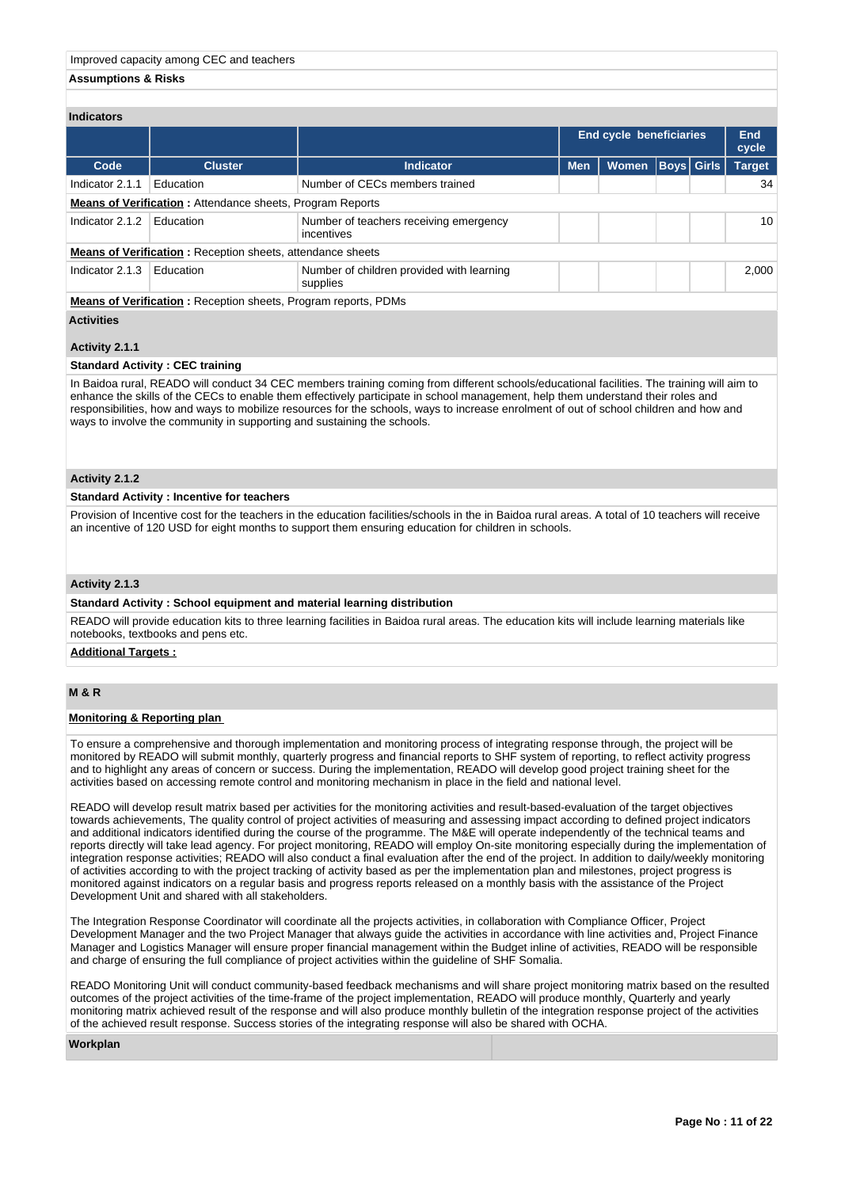#### **Assumptions & Risks**

| <b>Indicators</b>                                                |                                                                       |                                                       |            |                         |                   |                     |               |  |  |  |
|------------------------------------------------------------------|-----------------------------------------------------------------------|-------------------------------------------------------|------------|-------------------------|-------------------|---------------------|---------------|--|--|--|
|                                                                  |                                                                       |                                                       |            | End cycle beneficiaries |                   | <b>End</b><br>cycle |               |  |  |  |
| Code                                                             | <b>Cluster</b>                                                        | <b>Indicator</b>                                      | <b>Men</b> | <b>Women</b>            | <b>Boys Girls</b> |                     | <b>Target</b> |  |  |  |
| Indicator 2.1.1                                                  | Education                                                             | Number of CECs members trained                        |            |                         |                   |                     | 34            |  |  |  |
| <b>Means of Verification:</b> Attendance sheets, Program Reports |                                                                       |                                                       |            |                         |                   |                     |               |  |  |  |
| Indicator 2.1.2                                                  | Education                                                             | Number of teachers receiving emergency<br>incentives  |            |                         |                   |                     | 10            |  |  |  |
|                                                                  | <b>Means of Verification:</b> Reception sheets, attendance sheets     |                                                       |            |                         |                   |                     |               |  |  |  |
| Indicator 2.1.3                                                  | Education                                                             | Number of children provided with learning<br>supplies |            |                         |                   |                     | 2,000         |  |  |  |
|                                                                  | <b>Means of Verification: Reception sheets, Program reports, PDMs</b> |                                                       |            |                         |                   |                     |               |  |  |  |
| <b>Activities</b>                                                |                                                                       |                                                       |            |                         |                   |                     |               |  |  |  |

#### **Activity 2.1.1**

#### **Standard Activity : CEC training**

In Baidoa rural, READO will conduct 34 CEC members training coming from different schools/educational facilities. The training will aim to enhance the skills of the CECs to enable them effectively participate in school management, help them understand their roles and responsibilities, how and ways to mobilize resources for the schools, ways to increase enrolment of out of school children and how and ways to involve the community in supporting and sustaining the schools.

#### **Activity 2.1.2**

#### **Standard Activity : Incentive for teachers**

Provision of Incentive cost for the teachers in the education facilities/schools in the in Baidoa rural areas. A total of 10 teachers will receive an incentive of 120 USD for eight months to support them ensuring education for children in schools.

#### **Activity 2.1.3**

#### **Standard Activity : School equipment and material learning distribution**

READO will provide education kits to three learning facilities in Baidoa rural areas. The education kits will include learning materials like notebooks, textbooks and pens etc.

#### **Additional Targets :**

#### **M & R**

#### **Monitoring & Reporting plan**

To ensure a comprehensive and thorough implementation and monitoring process of integrating response through, the project will be monitored by READO will submit monthly, quarterly progress and financial reports to SHF system of reporting, to reflect activity progress and to highlight any areas of concern or success. During the implementation, READO will develop good project training sheet for the activities based on accessing remote control and monitoring mechanism in place in the field and national level.

READO will develop result matrix based per activities for the monitoring activities and result-based-evaluation of the target objectives towards achievements, The quality control of project activities of measuring and assessing impact according to defined project indicators and additional indicators identified during the course of the programme. The M&E will operate independently of the technical teams and reports directly will take lead agency. For project monitoring, READO will employ On-site monitoring especially during the implementation of integration response activities; READO will also conduct a final evaluation after the end of the project. In addition to daily/weekly monitoring of activities according to with the project tracking of activity based as per the implementation plan and milestones, project progress is monitored against indicators on a regular basis and progress reports released on a monthly basis with the assistance of the Project Development Unit and shared with all stakeholders.

The Integration Response Coordinator will coordinate all the projects activities, in collaboration with Compliance Officer, Project Development Manager and the two Project Manager that always guide the activities in accordance with line activities and, Project Finance Manager and Logistics Manager will ensure proper financial management within the Budget inline of activities, READO will be responsible and charge of ensuring the full compliance of project activities within the guideline of SHF Somalia.

READO Monitoring Unit will conduct community-based feedback mechanisms and will share project monitoring matrix based on the resulted outcomes of the project activities of the time-frame of the project implementation, READO will produce monthly, Quarterly and yearly monitoring matrix achieved result of the response and will also produce monthly bulletin of the integration response project of the activities of the achieved result response. Success stories of the integrating response will also be shared with OCHA.

#### **Workplan**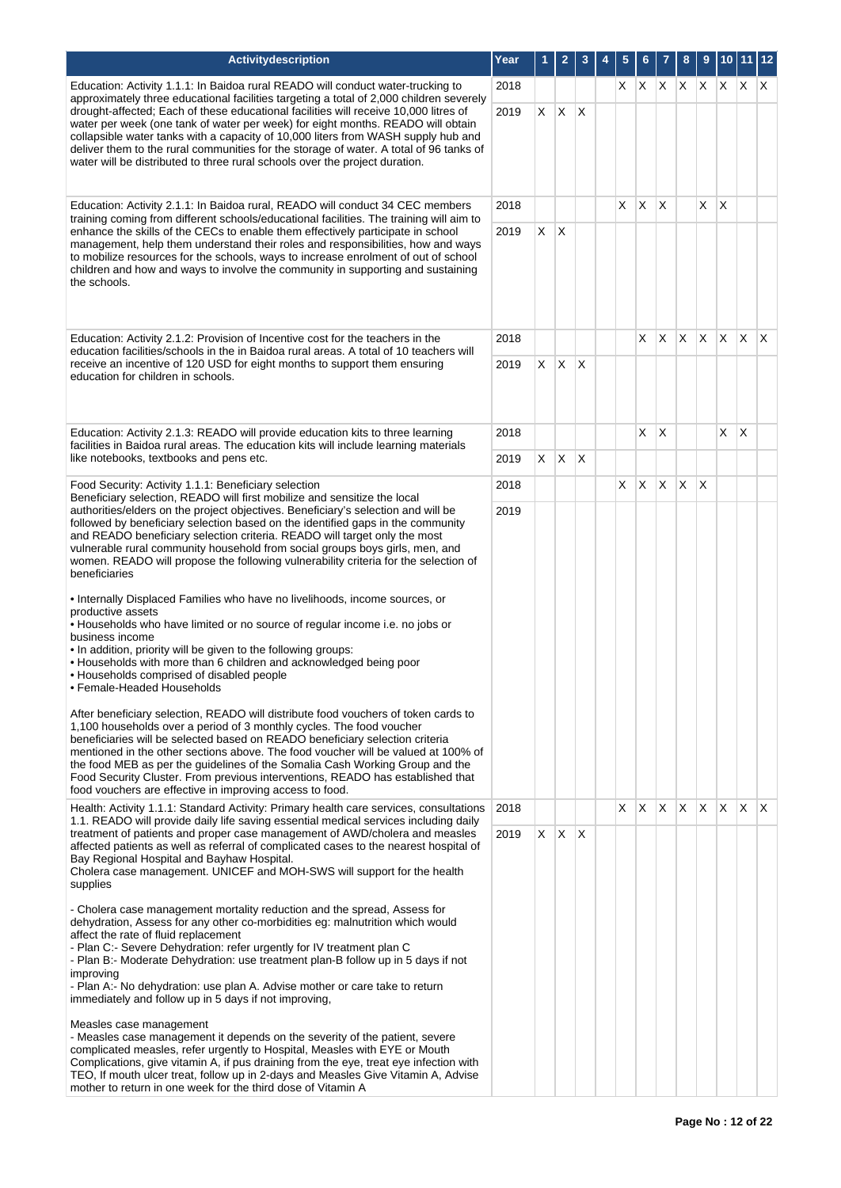| Activitydescription                                                                                                                                                                                                                                                                                                                                                                                                                                                                                                                                                                                                                                                                                                                                                                                                                                                                                                                                                                                                                                                                                                                                                                                                                                                                                                                                                                                                                  | Year | 1       | $\overline{2}$ | 3                       | 5  | 6       |    | 8            | 9            | 10 <sub>1</sub> | $11$ 12      |     |
|--------------------------------------------------------------------------------------------------------------------------------------------------------------------------------------------------------------------------------------------------------------------------------------------------------------------------------------------------------------------------------------------------------------------------------------------------------------------------------------------------------------------------------------------------------------------------------------------------------------------------------------------------------------------------------------------------------------------------------------------------------------------------------------------------------------------------------------------------------------------------------------------------------------------------------------------------------------------------------------------------------------------------------------------------------------------------------------------------------------------------------------------------------------------------------------------------------------------------------------------------------------------------------------------------------------------------------------------------------------------------------------------------------------------------------------|------|---------|----------------|-------------------------|----|---------|----|--------------|--------------|-----------------|--------------|-----|
| Education: Activity 1.1.1: In Baidoa rural READO will conduct water-trucking to<br>approximately three educational facilities targeting a total of 2,000 children severely                                                                                                                                                                                                                                                                                                                                                                                                                                                                                                                                                                                                                                                                                                                                                                                                                                                                                                                                                                                                                                                                                                                                                                                                                                                           | 2018 |         |                |                         | X. | $X$ $X$ |    | $\mathsf{X}$ |              |                 | $X \times X$ |     |
| drought-affected; Each of these educational facilities will receive 10,000 litres of<br>water per week (one tank of water per week) for eight months. READO will obtain<br>collapsible water tanks with a capacity of 10,000 liters from WASH supply hub and<br>deliver them to the rural communities for the storage of water. A total of 96 tanks of<br>water will be distributed to three rural schools over the project duration.                                                                                                                                                                                                                                                                                                                                                                                                                                                                                                                                                                                                                                                                                                                                                                                                                                                                                                                                                                                                | 2019 | X       | $\mathsf{X}$   | $\mathsf{\chi}$         |    |         |    |              |              |                 |              |     |
| Education: Activity 2.1.1: In Baidoa rural, READO will conduct 34 CEC members                                                                                                                                                                                                                                                                                                                                                                                                                                                                                                                                                                                                                                                                                                                                                                                                                                                                                                                                                                                                                                                                                                                                                                                                                                                                                                                                                        | 2018 |         |                |                         | X  | X       | X  |              | X            | $\mathsf{X}$    |              |     |
| training coming from different schools/educational facilities. The training will aim to<br>enhance the skills of the CECs to enable them effectively participate in school<br>management, help them understand their roles and responsibilities, how and ways<br>to mobilize resources for the schools, ways to increase enrolment of out of school<br>children and how and ways to involve the community in supporting and sustaining<br>the schools.                                                                                                                                                                                                                                                                                                                                                                                                                                                                                                                                                                                                                                                                                                                                                                                                                                                                                                                                                                               | 2019 | $X$ $X$ |                |                         |    |         |    |              |              |                 |              |     |
| Education: Activity 2.1.2: Provision of Incentive cost for the teachers in the<br>education facilities/schools in the in Baidoa rural areas. A total of 10 teachers will                                                                                                                                                                                                                                                                                                                                                                                                                                                                                                                                                                                                                                                                                                                                                                                                                                                                                                                                                                                                                                                                                                                                                                                                                                                             | 2018 |         |                |                         |    | X.      | X. | X.           | $\mathsf{X}$ | $\mathsf{X}$    | <b>X</b>     | ΙX. |
| receive an incentive of 120 USD for eight months to support them ensuring<br>education for children in schools.                                                                                                                                                                                                                                                                                                                                                                                                                                                                                                                                                                                                                                                                                                                                                                                                                                                                                                                                                                                                                                                                                                                                                                                                                                                                                                                      | 2019 | X       | $\mathsf{X}$   | X                       |    |         |    |              |              |                 |              |     |
| Education: Activity 2.1.3: READO will provide education kits to three learning<br>facilities in Baidoa rural areas. The education kits will include learning materials                                                                                                                                                                                                                                                                                                                                                                                                                                                                                                                                                                                                                                                                                                                                                                                                                                                                                                                                                                                                                                                                                                                                                                                                                                                               | 2018 |         |                |                         |    | X.      | X  |              |              | X               | $\mathsf{X}$ |     |
| like notebooks, textbooks and pens etc.                                                                                                                                                                                                                                                                                                                                                                                                                                                                                                                                                                                                                                                                                                                                                                                                                                                                                                                                                                                                                                                                                                                                                                                                                                                                                                                                                                                              | 2019 | X       | X              | X                       |    |         |    |              |              |                 |              |     |
| Food Security: Activity 1.1.1: Beneficiary selection<br>Beneficiary selection, READO will first mobilize and sensitize the local                                                                                                                                                                                                                                                                                                                                                                                                                                                                                                                                                                                                                                                                                                                                                                                                                                                                                                                                                                                                                                                                                                                                                                                                                                                                                                     | 2018 |         |                |                         | X  | X.      | X. | $\times$     | X            |                 |              |     |
| authorities/elders on the project objectives. Beneficiary's selection and will be<br>followed by beneficiary selection based on the identified gaps in the community<br>and READO beneficiary selection criteria. READO will target only the most<br>vulnerable rural community household from social groups boys girls, men, and<br>women. READO will propose the following vulnerability criteria for the selection of<br>beneficiaries<br>• Internally Displaced Families who have no livelihoods, income sources, or<br>productive assets<br>. Households who have limited or no source of regular income i.e. no jobs or<br>business income<br>. In addition, priority will be given to the following groups:<br>• Households with more than 6 children and acknowledged being poor<br>• Households comprised of disabled people<br>• Female-Headed Households<br>After beneficiary selection, READO will distribute food vouchers of token cards to<br>1,100 households over a period of 3 monthly cycles. The food voucher<br>beneficiaries will be selected based on READO beneficiary selection criteria<br>mentioned in the other sections above. The food voucher will be valued at 100% of<br>the food MEB as per the quidelines of the Somalia Cash Working Group and the<br>Food Security Cluster. From previous interventions, READO has established that<br>food vouchers are effective in improving access to food. | 2019 |         |                |                         |    |         |    |              |              |                 |              |     |
| Health: Activity 1.1.1: Standard Activity: Primary health care services, consultations                                                                                                                                                                                                                                                                                                                                                                                                                                                                                                                                                                                                                                                                                                                                                                                                                                                                                                                                                                                                                                                                                                                                                                                                                                                                                                                                               | 2018 |         |                |                         | X  | X.      | X  | $\mathsf{X}$ | X.           | $\mathsf{X}$    | X            | X.  |
| 1.1. READO will provide daily life saving essential medical services including daily<br>treatment of patients and proper case management of AWD/cholera and measles<br>affected patients as well as referral of complicated cases to the nearest hospital of<br>Bay Regional Hospital and Bayhaw Hospital.<br>Cholera case management. UNICEF and MOH-SWS will support for the health<br>supplies                                                                                                                                                                                                                                                                                                                                                                                                                                                                                                                                                                                                                                                                                                                                                                                                                                                                                                                                                                                                                                    | 2019 |         | $X$ $X$        | $\mathsf{I} \mathsf{X}$ |    |         |    |              |              |                 |              |     |
| - Cholera case management mortality reduction and the spread, Assess for<br>dehydration, Assess for any other co-morbidities eg: malnutrition which would<br>affect the rate of fluid replacement<br>- Plan C:- Severe Dehydration: refer urgently for IV treatment plan C<br>- Plan B:- Moderate Dehydration: use treatment plan-B follow up in 5 days if not<br>improving<br>- Plan A:- No dehydration: use plan A. Advise mother or care take to return<br>immediately and follow up in 5 days if not improving,<br>Measles case management<br>- Measles case management it depends on the severity of the patient, severe<br>complicated measles, refer urgently to Hospital, Measles with EYE or Mouth<br>Complications, give vitamin A, if pus draining from the eye, treat eye infection with<br>TEO, If mouth ulcer treat, follow up in 2-days and Measles Give Vitamin A, Advise<br>mother to return in one week for the third dose of Vitamin A                                                                                                                                                                                                                                                                                                                                                                                                                                                                            |      |         |                |                         |    |         |    |              |              |                 |              |     |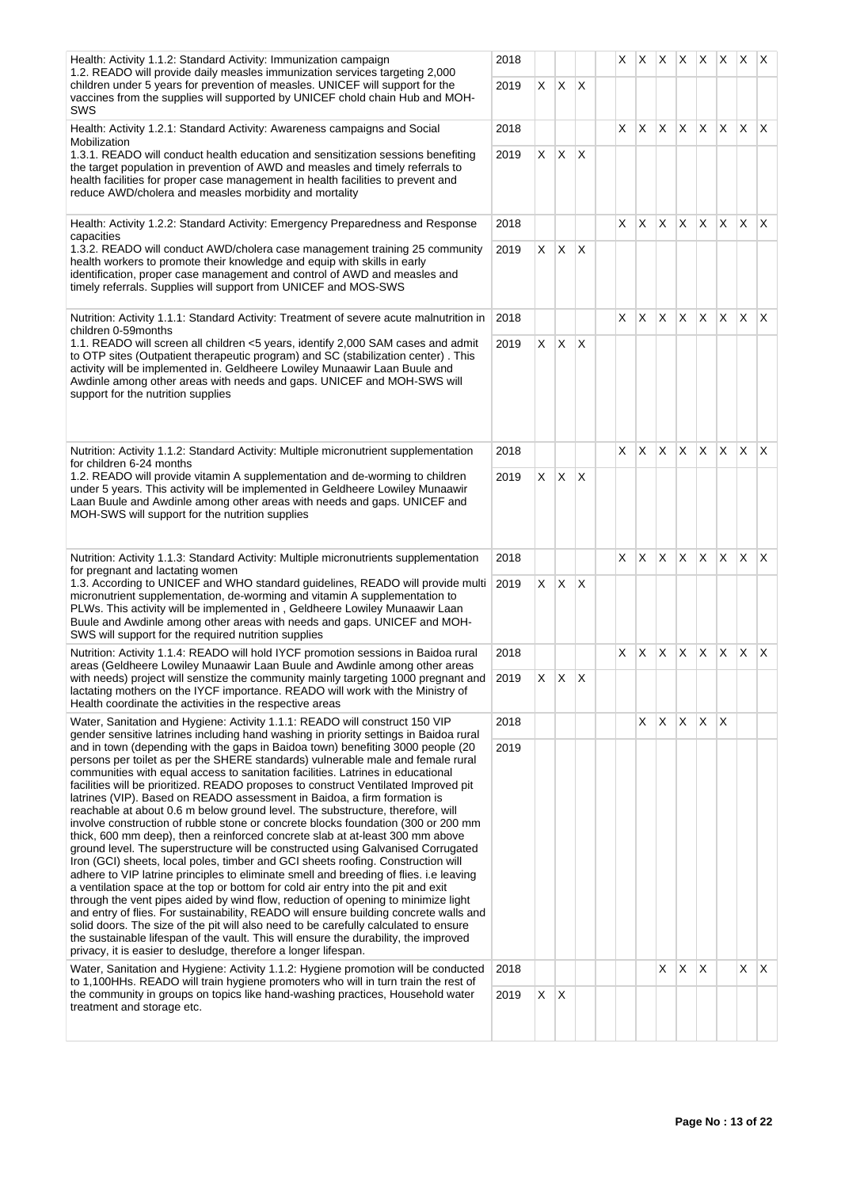| Health: Activity 1.1.2: Standard Activity: Immunization campaign<br>1.2. READO will provide daily measles immunization services targeting 2,000                                                                                                                                                                                                                                                                                                                                                                                                                                                                                                                                                                                                                                                                                                                                                                                                                                                                                                                                                                                                                                                                                                                                                                                                                                                                                                                          | 2018 |    |              |              | X. |              |              |            |                 | $ X $ $ X $ $ X $ $ X $ $ X $ |                         |              |
|--------------------------------------------------------------------------------------------------------------------------------------------------------------------------------------------------------------------------------------------------------------------------------------------------------------------------------------------------------------------------------------------------------------------------------------------------------------------------------------------------------------------------------------------------------------------------------------------------------------------------------------------------------------------------------------------------------------------------------------------------------------------------------------------------------------------------------------------------------------------------------------------------------------------------------------------------------------------------------------------------------------------------------------------------------------------------------------------------------------------------------------------------------------------------------------------------------------------------------------------------------------------------------------------------------------------------------------------------------------------------------------------------------------------------------------------------------------------------|------|----|--------------|--------------|----|--------------|--------------|------------|-----------------|-------------------------------|-------------------------|--------------|
| children under 5 years for prevention of measles. UNICEF will support for the<br>vaccines from the supplies will supported by UNICEF chold chain Hub and MOH-<br>SWS                                                                                                                                                                                                                                                                                                                                                                                                                                                                                                                                                                                                                                                                                                                                                                                                                                                                                                                                                                                                                                                                                                                                                                                                                                                                                                     | 2019 | X. | $X$ $X$      |              |    |              |              |            |                 |                               |                         |              |
| Health: Activity 1.2.1: Standard Activity: Awareness campaigns and Social<br>Mobilization                                                                                                                                                                                                                                                                                                                                                                                                                                                                                                                                                                                                                                                                                                                                                                                                                                                                                                                                                                                                                                                                                                                                                                                                                                                                                                                                                                                | 2018 |    |              |              | X  | X            | X.           | X.         | $\mathsf{X}$    | $\mathsf{X}$                  | $\mathsf{X}$            | $\mathsf{X}$ |
| 1.3.1. READO will conduct health education and sensitization sessions benefiting<br>the target population in prevention of AWD and measles and timely referrals to<br>health facilities for proper case management in health facilities to prevent and<br>reduce AWD/cholera and measles morbidity and mortality                                                                                                                                                                                                                                                                                                                                                                                                                                                                                                                                                                                                                                                                                                                                                                                                                                                                                                                                                                                                                                                                                                                                                         | 2019 | X  | X            | $\mathsf{X}$ |    |              |              |            |                 |                               |                         |              |
| Health: Activity 1.2.2: Standard Activity: Emergency Preparedness and Response<br>capacities                                                                                                                                                                                                                                                                                                                                                                                                                                                                                                                                                                                                                                                                                                                                                                                                                                                                                                                                                                                                                                                                                                                                                                                                                                                                                                                                                                             | 2018 |    |              |              | X  | X            | X.           | IX.        | <b>X</b>        | IX.                           | $\mathsf{X}$            | $\mathsf{X}$ |
| 1.3.2. READO will conduct AWD/cholera case management training 25 community<br>health workers to promote their knowledge and equip with skills in early<br>identification, proper case management and control of AWD and measles and<br>timely referrals. Supplies will support from UNICEF and MOS-SWS                                                                                                                                                                                                                                                                                                                                                                                                                                                                                                                                                                                                                                                                                                                                                                                                                                                                                                                                                                                                                                                                                                                                                                  | 2019 | X. | $\mathsf{X}$ | $\mathsf{X}$ |    |              |              |            |                 |                               |                         |              |
| Nutrition: Activity 1.1.1: Standard Activity: Treatment of severe acute malnutrition in<br>children 0-59months                                                                                                                                                                                                                                                                                                                                                                                                                                                                                                                                                                                                                                                                                                                                                                                                                                                                                                                                                                                                                                                                                                                                                                                                                                                                                                                                                           | 2018 |    |              |              | X. | $\mathsf{X}$ | $\mathsf{X}$ |            | X X             | $X$ $X$                       |                         | $\mathsf{X}$ |
| 1.1. READO will screen all children <5 years, identify 2,000 SAM cases and admit<br>to OTP sites (Outpatient therapeutic program) and SC (stabilization center). This<br>activity will be implemented in. Geldheere Lowiley Munaawir Laan Buule and<br>Awdinle among other areas with needs and gaps. UNICEF and MOH-SWS will<br>support for the nutrition supplies                                                                                                                                                                                                                                                                                                                                                                                                                                                                                                                                                                                                                                                                                                                                                                                                                                                                                                                                                                                                                                                                                                      | 2019 | X. | X            | $\mathsf{X}$ |    |              |              |            |                 |                               |                         |              |
| Nutrition: Activity 1.1.2: Standard Activity: Multiple micronutrient supplementation                                                                                                                                                                                                                                                                                                                                                                                                                                                                                                                                                                                                                                                                                                                                                                                                                                                                                                                                                                                                                                                                                                                                                                                                                                                                                                                                                                                     | 2018 |    |              |              | X  | X            | X.           | X.         | <b>X</b>        | ΙX.                           | $\mathsf{X}$            | ΙX.          |
| for children 6-24 months<br>1.2. READO will provide vitamin A supplementation and de-worming to children<br>2019<br>under 5 years. This activity will be implemented in Geldheere Lowiley Munaawir<br>Laan Buule and Awdinle among other areas with needs and gaps. UNICEF and<br>MOH-SWS will support for the nutrition supplies                                                                                                                                                                                                                                                                                                                                                                                                                                                                                                                                                                                                                                                                                                                                                                                                                                                                                                                                                                                                                                                                                                                                        |      | X  | X            | $\mathsf{X}$ |    |              |              |            |                 |                               |                         |              |
| Nutrition: Activity 1.1.3: Standard Activity: Multiple micronutrients supplementation                                                                                                                                                                                                                                                                                                                                                                                                                                                                                                                                                                                                                                                                                                                                                                                                                                                                                                                                                                                                                                                                                                                                                                                                                                                                                                                                                                                    | 2018 |    |              |              | X  | X            | X.           | $x \mid x$ |                 |                               | $x \times x$            |              |
| for pregnant and lactating women<br>1.3. According to UNICEF and WHO standard guidelines, READO will provide multi<br>micronutrient supplementation, de-worming and vitamin A supplementation to<br>PLWs. This activity will be implemented in, Geldheere Lowiley Munaawir Laan<br>Buule and Awdinle among other areas with needs and gaps. UNICEF and MOH-<br>SWS will support for the required nutrition supplies                                                                                                                                                                                                                                                                                                                                                                                                                                                                                                                                                                                                                                                                                                                                                                                                                                                                                                                                                                                                                                                      | 2019 | X  | X            | $\mathsf{X}$ |    |              |              |            |                 |                               |                         |              |
| Nutrition: Activity 1.1.4: READO will hold IYCF promotion sessions in Baidoa rural<br>areas (Geldheere Lowiley Munaawir Laan Buule and Awdinle among other areas                                                                                                                                                                                                                                                                                                                                                                                                                                                                                                                                                                                                                                                                                                                                                                                                                                                                                                                                                                                                                                                                                                                                                                                                                                                                                                         | 2018 |    |              |              | X  | ΙX           | X.           |            | X X             | $\mathsf{X}$                  | $\mathsf{X} \mathsf{X}$ |              |
| with needs) project will senstize the community mainly targeting 1000 pregnant and<br>lactating mothers on the IYCF importance. READO will work with the Ministry of<br>Health coordinate the activities in the respective areas                                                                                                                                                                                                                                                                                                                                                                                                                                                                                                                                                                                                                                                                                                                                                                                                                                                                                                                                                                                                                                                                                                                                                                                                                                         | 2019 | X. | $X$ $X$      |              |    |              |              |            |                 |                               |                         |              |
| Water, Sanitation and Hygiene: Activity 1.1.1: READO will construct 150 VIP<br>gender sensitive latrines including hand washing in priority settings in Baidoa rural                                                                                                                                                                                                                                                                                                                                                                                                                                                                                                                                                                                                                                                                                                                                                                                                                                                                                                                                                                                                                                                                                                                                                                                                                                                                                                     | 2018 |    |              |              |    | X            | X.           | X.         | X.              | ΙX                            |                         |              |
| and in town (depending with the gaps in Baidoa town) benefiting 3000 people (20<br>persons per toilet as per the SHERE standards) vulnerable male and female rural<br>communities with equal access to sanitation facilities. Latrines in educational<br>facilities will be prioritized. READO proposes to construct Ventilated Improved pit<br>latrines (VIP). Based on READO assessment in Baidoa, a firm formation is<br>reachable at about 0.6 m below ground level. The substructure, therefore, will<br>involve construction of rubble stone or concrete blocks foundation (300 or 200 mm<br>thick, 600 mm deep), then a reinforced concrete slab at at-least 300 mm above<br>ground level. The superstructure will be constructed using Galvanised Corrugated<br>Iron (GCI) sheets, local poles, timber and GCI sheets roofing. Construction will<br>adhere to VIP latrine principles to eliminate smell and breeding of flies. i.e leaving<br>a ventilation space at the top or bottom for cold air entry into the pit and exit<br>through the vent pipes aided by wind flow, reduction of opening to minimize light<br>and entry of flies. For sustainability, READO will ensure building concrete walls and<br>solid doors. The size of the pit will also need to be carefully calculated to ensure<br>the sustainable lifespan of the vault. This will ensure the durability, the improved<br>privacy, it is easier to desludge, therefore a longer lifespan. | 2019 |    |              |              |    |              |              |            |                 |                               |                         |              |
| Water, Sanitation and Hygiene: Activity 1.1.2: Hygiene promotion will be conducted<br>to 1,100HHs. READO will train hygiene promoters who will in turn train the rest of                                                                                                                                                                                                                                                                                                                                                                                                                                                                                                                                                                                                                                                                                                                                                                                                                                                                                                                                                                                                                                                                                                                                                                                                                                                                                                 | 2018 |    |              |              |    |              | X            | X          | $\mathsf{\chi}$ |                               | X                       | $\mathsf{X}$ |
| the community in groups on topics like hand-washing practices, Household water<br>2019<br>treatment and storage etc.                                                                                                                                                                                                                                                                                                                                                                                                                                                                                                                                                                                                                                                                                                                                                                                                                                                                                                                                                                                                                                                                                                                                                                                                                                                                                                                                                     |      | X  | ΙX           |              |    |              |              |            |                 |                               |                         |              |
|                                                                                                                                                                                                                                                                                                                                                                                                                                                                                                                                                                                                                                                                                                                                                                                                                                                                                                                                                                                                                                                                                                                                                                                                                                                                                                                                                                                                                                                                          |      |    |              |              |    |              |              |            |                 |                               |                         |              |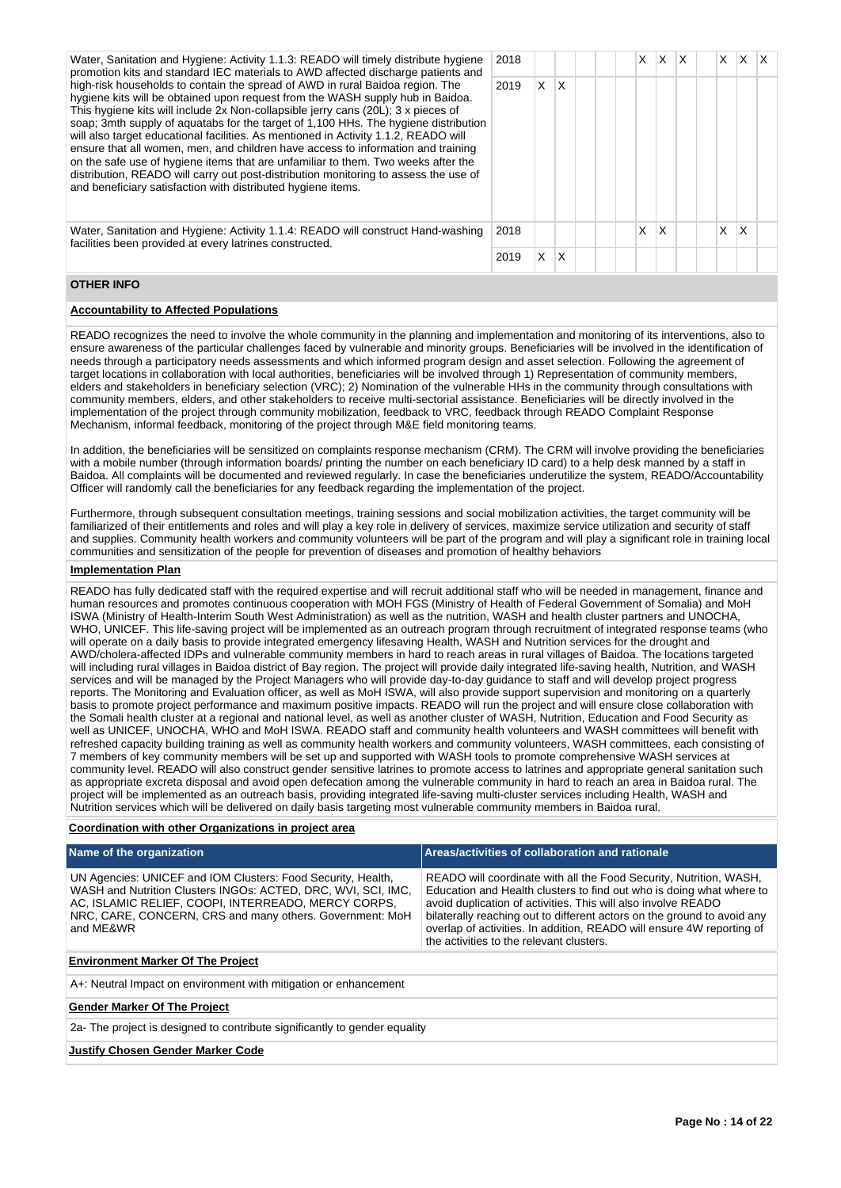| Water, Sanitation and Hygiene: Activity 1.1.3: READO will timely distribute hygiene<br>promotion kits and standard IEC materials to AWD affected discharge patients and                                                                                                                                                                                                                                                                                                                                                                                                                                                                                                                                                                                             | 2018 |   |   |  | X. | X. | X | X. | X |  |
|---------------------------------------------------------------------------------------------------------------------------------------------------------------------------------------------------------------------------------------------------------------------------------------------------------------------------------------------------------------------------------------------------------------------------------------------------------------------------------------------------------------------------------------------------------------------------------------------------------------------------------------------------------------------------------------------------------------------------------------------------------------------|------|---|---|--|----|----|---|----|---|--|
| high-risk households to contain the spread of AWD in rural Baidoa region. The<br>hygiene kits will be obtained upon request from the WASH supply hub in Baidoa.<br>This hygiene kits will include 2x Non-collapsible jerry cans (20L); 3 x pieces of<br>soap; 3mth supply of aquatabs for the target of 1,100 HHs. The hygiene distribution<br>will also target educational facilities. As mentioned in Activity 1.1.2, READO will<br>ensure that all women, men, and children have access to information and training<br>on the safe use of hygiene items that are unfamiliar to them. Two weeks after the<br>distribution, READO will carry out post-distribution monitoring to assess the use of<br>and beneficiary satisfaction with distributed hygiene items. | 2019 | X | X |  |    |    |   |    |   |  |
| Water, Sanitation and Hygiene: Activity 1.1.4: READO will construct Hand-washing<br>facilities been provided at every latrines constructed.                                                                                                                                                                                                                                                                                                                                                                                                                                                                                                                                                                                                                         | 2018 |   |   |  | Χ  | х  |   | X  | Χ |  |
|                                                                                                                                                                                                                                                                                                                                                                                                                                                                                                                                                                                                                                                                                                                                                                     | 2019 |   |   |  |    |    |   |    |   |  |

#### **OTHER INFO**

#### **Accountability to Affected Populations**

READO recognizes the need to involve the whole community in the planning and implementation and monitoring of its interventions, also to ensure awareness of the particular challenges faced by vulnerable and minority groups. Beneficiaries will be involved in the identification of needs through a participatory needs assessments and which informed program design and asset selection. Following the agreement of target locations in collaboration with local authorities, beneficiaries will be involved through 1) Representation of community members, elders and stakeholders in beneficiary selection (VRC); 2) Nomination of the vulnerable HHs in the community through consultations with community members, elders, and other stakeholders to receive multi-sectorial assistance. Beneficiaries will be directly involved in the implementation of the project through community mobilization, feedback to VRC, feedback through READO Complaint Response Mechanism, informal feedback, monitoring of the project through M&E field monitoring teams.

In addition, the beneficiaries will be sensitized on complaints response mechanism (CRM). The CRM will involve providing the beneficiaries with a mobile number (through information boards/ printing the number on each beneficiary ID card) to a help desk manned by a staff in Baidoa. All complaints will be documented and reviewed regularly. In case the beneficiaries underutilize the system, READO/Accountability Officer will randomly call the beneficiaries for any feedback regarding the implementation of the project.

Furthermore, through subsequent consultation meetings, training sessions and social mobilization activities, the target community will be familiarized of their entitlements and roles and will play a key role in delivery of services, maximize service utilization and security of staff and supplies. Community health workers and community volunteers will be part of the program and will play a significant role in training local communities and sensitization of the people for prevention of diseases and promotion of healthy behaviors

#### **Implementation Plan**

READO has fully dedicated staff with the required expertise and will recruit additional staff who will be needed in management, finance and human resources and promotes continuous cooperation with MOH FGS (Ministry of Health of Federal Government of Somalia) and MoH ISWA (Ministry of Health-Interim South West Administration) as well as the nutrition, WASH and health cluster partners and UNOCHA, WHO, UNICEF. This life-saving project will be implemented as an outreach program through recruitment of integrated response teams (who will operate on a daily basis to provide integrated emergency lifesaving Health, WASH and Nutrition services for the drought and AWD/cholera-affected IDPs and vulnerable community members in hard to reach areas in rural villages of Baidoa. The locations targeted will including rural villages in Baidoa district of Bay region. The project will provide daily integrated life-saving health, Nutrition, and WASH services and will be managed by the Project Managers who will provide day-to-day guidance to staff and will develop project progress reports. The Monitoring and Evaluation officer, as well as MoH ISWA, will also provide support supervision and monitoring on a quarterly basis to promote project performance and maximum positive impacts. READO will run the project and will ensure close collaboration with the Somali health cluster at a regional and national level, as well as another cluster of WASH, Nutrition, Education and Food Security as well as UNICEF, UNOCHA, WHO and MoH ISWA. READO staff and community health volunteers and WASH committees will benefit with refreshed capacity building training as well as community health workers and community volunteers, WASH committees, each consisting of 7 members of key community members will be set up and supported with WASH tools to promote comprehensive WASH services at community level. READO will also construct gender sensitive latrines to promote access to latrines and appropriate general sanitation such as appropriate excreta disposal and avoid open defecation among the vulnerable community in hard to reach an area in Baidoa rural. The project will be implemented as an outreach basis, providing integrated life-saving multi-cluster services including Health, WASH and Nutrition services which will be delivered on daily basis targeting most vulnerable community members in Baidoa rural.

#### **Coordination with other Organizations in project area**

| Name of the organization                                                                                                                                                                                                                                      | Areas/activities of collaboration and rationale                                                                                                                                                                                                                                                                                                                                                             |
|---------------------------------------------------------------------------------------------------------------------------------------------------------------------------------------------------------------------------------------------------------------|-------------------------------------------------------------------------------------------------------------------------------------------------------------------------------------------------------------------------------------------------------------------------------------------------------------------------------------------------------------------------------------------------------------|
| UN Agencies: UNICEF and IOM Clusters: Food Security, Health,<br>WASH and Nutrition Clusters INGOs: ACTED, DRC, WVI, SCI, IMC,<br>AC, ISLAMIC RELIEF, COOPI, INTERREADO, MERCY CORPS,<br>NRC, CARE, CONCERN, CRS and many others. Government: MoH<br>and ME&WR | READO will coordinate with all the Food Security, Nutrition, WASH,<br>Education and Health clusters to find out who is doing what where to<br>avoid duplication of activities. This will also involve READO<br>bilaterally reaching out to different actors on the ground to avoid any<br>overlap of activities. In addition, READO will ensure 4W reporting of<br>the activities to the relevant clusters. |
| <b>Environment Marker Of The Project</b>                                                                                                                                                                                                                      |                                                                                                                                                                                                                                                                                                                                                                                                             |
| A+: Neutral Impact on environment with mitigation or enhancement                                                                                                                                                                                              |                                                                                                                                                                                                                                                                                                                                                                                                             |
| <b>Gender Marker Of The Project</b>                                                                                                                                                                                                                           |                                                                                                                                                                                                                                                                                                                                                                                                             |
| 2a- The project is designed to contribute significantly to gender equality                                                                                                                                                                                    |                                                                                                                                                                                                                                                                                                                                                                                                             |

#### **Justify Chosen Gender Marker Code**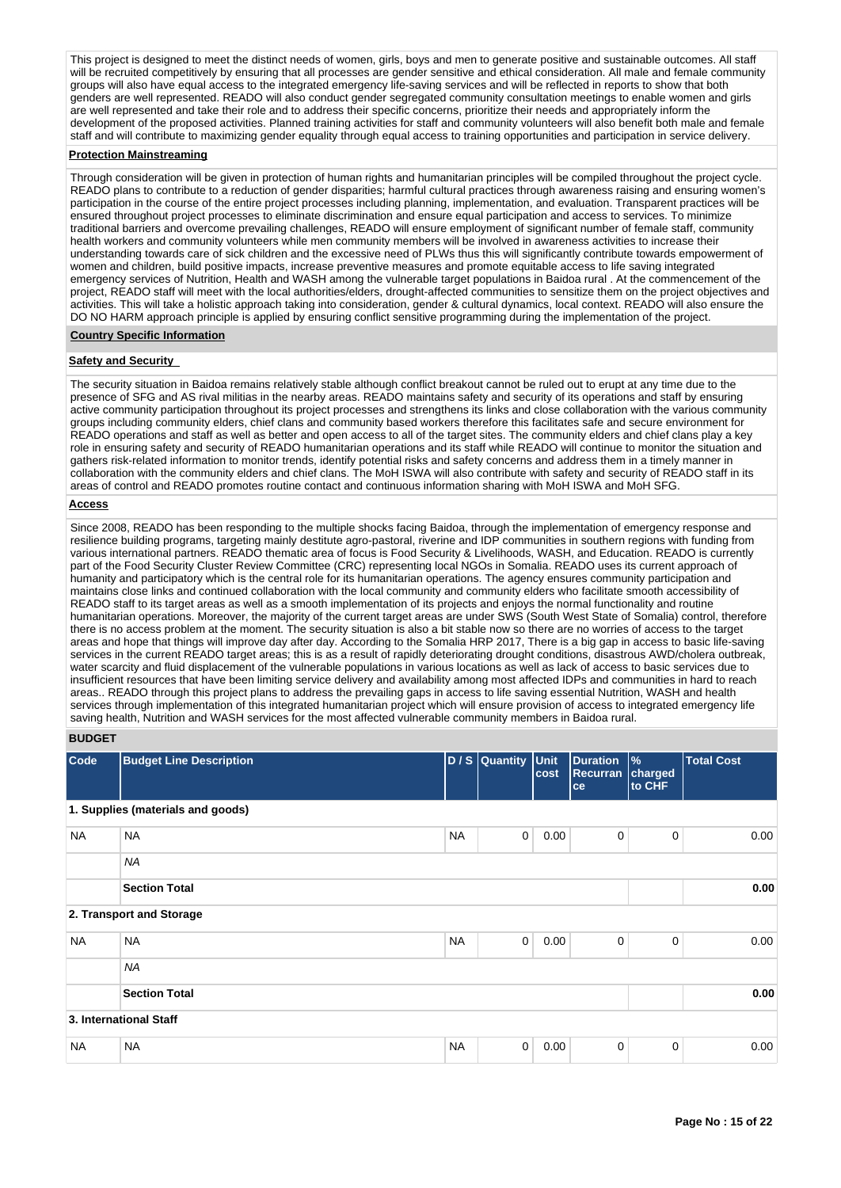This project is designed to meet the distinct needs of women, girls, boys and men to generate positive and sustainable outcomes. All staff will be recruited competitively by ensuring that all processes are gender sensitive and ethical consideration. All male and female community groups will also have equal access to the integrated emergency life-saving services and will be reflected in reports to show that both genders are well represented. READO will also conduct gender segregated community consultation meetings to enable women and girls are well represented and take their role and to address their specific concerns, prioritize their needs and appropriately inform the development of the proposed activities. Planned training activities for staff and community volunteers will also benefit both male and female staff and will contribute to maximizing gender equality through equal access to training opportunities and participation in service delivery.

#### **Protection Mainstreaming**

Through consideration will be given in protection of human rights and humanitarian principles will be compiled throughout the project cycle. READO plans to contribute to a reduction of gender disparities; harmful cultural practices through awareness raising and ensuring women's participation in the course of the entire project processes including planning, implementation, and evaluation. Transparent practices will be ensured throughout project processes to eliminate discrimination and ensure equal participation and access to services. To minimize traditional barriers and overcome prevailing challenges, READO will ensure employment of significant number of female staff, community health workers and community volunteers while men community members will be involved in awareness activities to increase their understanding towards care of sick children and the excessive need of PLWs thus this will significantly contribute towards empowerment of women and children, build positive impacts, increase preventive measures and promote equitable access to life saving integrated emergency services of Nutrition, Health and WASH among the vulnerable target populations in Baidoa rural . At the commencement of the project, READO staff will meet with the local authorities/elders, drought-affected communities to sensitize them on the project objectives and activities. This will take a holistic approach taking into consideration, gender & cultural dynamics, local context. READO will also ensure the DO NO HARM approach principle is applied by ensuring conflict sensitive programming during the implementation of the project.

#### **Country Specific Information**

#### **Safety and Security**

The security situation in Baidoa remains relatively stable although conflict breakout cannot be ruled out to erupt at any time due to the presence of SFG and AS rival militias in the nearby areas. READO maintains safety and security of its operations and staff by ensuring active community participation throughout its project processes and strengthens its links and close collaboration with the various community groups including community elders, chief clans and community based workers therefore this facilitates safe and secure environment for READO operations and staff as well as better and open access to all of the target sites. The community elders and chief clans play a key role in ensuring safety and security of READO humanitarian operations and its staff while READO will continue to monitor the situation and gathers risk-related information to monitor trends, identify potential risks and safety concerns and address them in a timely manner in collaboration with the community elders and chief clans. The MoH ISWA will also contribute with safety and security of READO staff in its areas of control and READO promotes routine contact and continuous information sharing with MoH ISWA and MoH SFG.

#### **Access**

Since 2008, READO has been responding to the multiple shocks facing Baidoa, through the implementation of emergency response and resilience building programs, targeting mainly destitute agro-pastoral, riverine and IDP communities in southern regions with funding from various international partners. READO thematic area of focus is Food Security & Livelihoods, WASH, and Education. READO is currently part of the Food Security Cluster Review Committee (CRC) representing local NGOs in Somalia. READO uses its current approach of humanity and participatory which is the central role for its humanitarian operations. The agency ensures community participation and maintains close links and continued collaboration with the local community and community elders who facilitate smooth accessibility of READO staff to its target areas as well as a smooth implementation of its projects and enjoys the normal functionality and routine humanitarian operations. Moreover, the majority of the current target areas are under SWS (South West State of Somalia) control, therefore there is no access problem at the moment. The security situation is also a bit stable now so there are no worries of access to the target areas and hope that things will improve day after day. According to the Somalia HRP 2017, There is a big gap in access to basic life-saving services in the current READO target areas; this is as a result of rapidly deteriorating drought conditions, disastrous AWD/cholera outbreak, water scarcity and fluid displacement of the vulnerable populations in various locations as well as lack of access to basic services due to insufficient resources that have been limiting service delivery and availability among most affected IDPs and communities in hard to reach areas.. READO through this project plans to address the prevailing gaps in access to life saving essential Nutrition, WASH and health services through implementation of this integrated humanitarian project which will ensure provision of access to integrated emergency life saving health, Nutrition and WASH services for the most affected vulnerable community members in Baidoa rural.

#### **BUDGET**

| Code      | <b>Budget Line Description</b>    |           | D / S Quantity | <b>Unit</b><br>cost | <b>Duration</b><br><b>Recurran</b><br>ce | $\frac{9}{6}$<br>charged<br>to CHF | <b>Total Cost</b> |
|-----------|-----------------------------------|-----------|----------------|---------------------|------------------------------------------|------------------------------------|-------------------|
|           | 1. Supplies (materials and goods) |           |                |                     |                                          |                                    |                   |
| <b>NA</b> | <b>NA</b>                         | <b>NA</b> | $\mathbf 0$    | 0.00                | $\mathbf 0$                              | $\mathbf 0$                        | 0.00              |
|           | <b>NA</b>                         |           |                |                     |                                          |                                    |                   |
|           | <b>Section Total</b>              |           |                |                     |                                          |                                    | 0.00              |
|           | 2. Transport and Storage          |           |                |                     |                                          |                                    |                   |
| <b>NA</b> | <b>NA</b>                         | <b>NA</b> | $\mathbf 0$    | 0.00                | 0                                        | $\mathbf 0$                        | 0.00              |
|           | <b>NA</b>                         |           |                |                     |                                          |                                    |                   |
|           | <b>Section Total</b>              |           |                |                     |                                          |                                    | 0.00              |
|           | 3. International Staff            |           |                |                     |                                          |                                    |                   |
| <b>NA</b> | <b>NA</b>                         | <b>NA</b> | $\mathbf 0$    | 0.00                | 0                                        | $\mathbf 0$                        | 0.00              |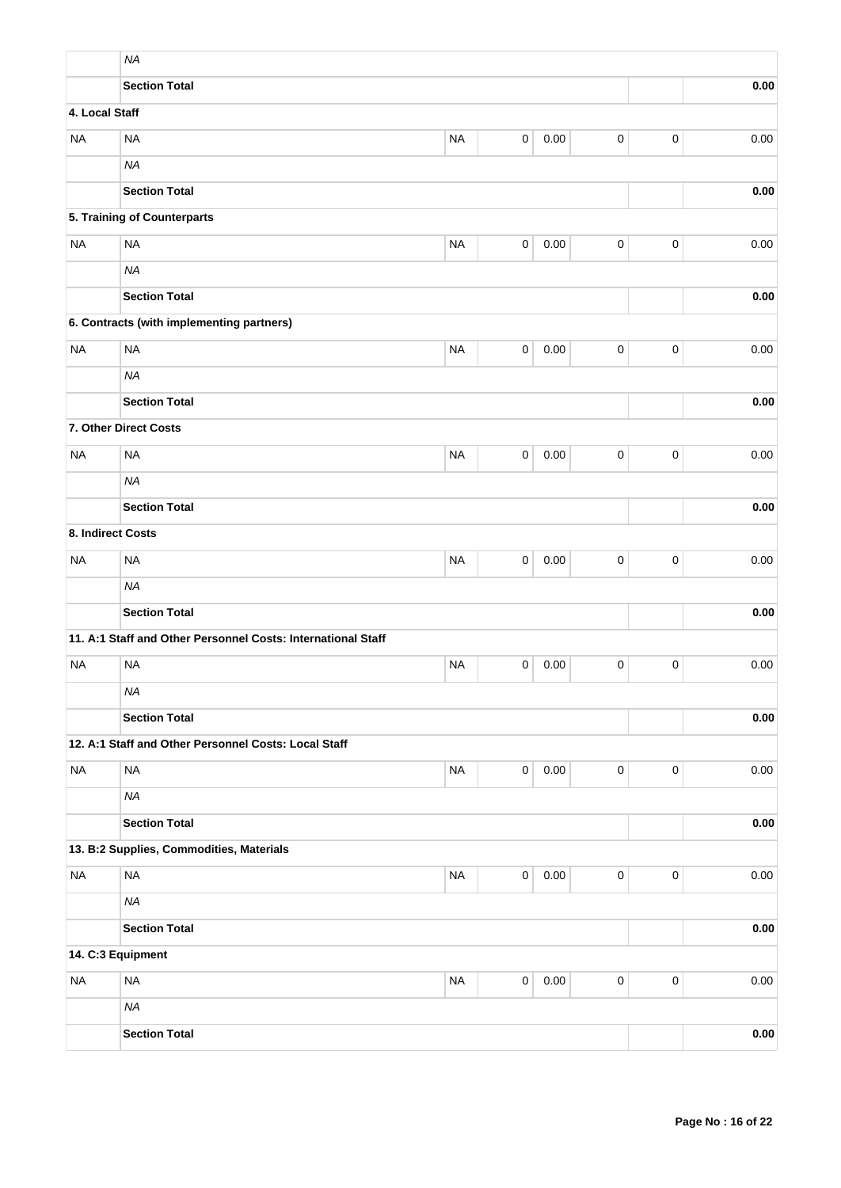|                   | <b>NA</b>                                                    |           |                     |      |           |             |      |  |
|-------------------|--------------------------------------------------------------|-----------|---------------------|------|-----------|-------------|------|--|
|                   | <b>Section Total</b>                                         |           |                     |      |           |             | 0.00 |  |
| 4. Local Staff    |                                                              |           |                     |      |           |             |      |  |
| <b>NA</b>         | <b>NA</b>                                                    | <b>NA</b> | $\pmb{0}$           | 0.00 | 0         | $\pmb{0}$   | 0.00 |  |
|                   | <b>NA</b>                                                    |           |                     |      |           |             |      |  |
|                   | <b>Section Total</b>                                         |           |                     |      |           |             | 0.00 |  |
|                   | 5. Training of Counterparts                                  |           |                     |      |           |             |      |  |
| <b>NA</b>         | <b>NA</b>                                                    | <b>NA</b> | $\pmb{0}$           | 0.00 | 0         | $\mathbf 0$ | 0.00 |  |
|                   | <b>NA</b>                                                    |           |                     |      |           |             |      |  |
|                   | <b>Section Total</b>                                         |           |                     |      |           |             | 0.00 |  |
|                   | 6. Contracts (with implementing partners)                    |           |                     |      |           |             |      |  |
| <b>NA</b>         | <b>NA</b>                                                    | <b>NA</b> | 0                   | 0.00 | $\pmb{0}$ | $\pmb{0}$   | 0.00 |  |
|                   | <b>NA</b>                                                    |           |                     |      |           |             |      |  |
|                   | <b>Section Total</b>                                         |           |                     |      |           |             | 0.00 |  |
|                   | 7. Other Direct Costs                                        |           |                     |      |           |             |      |  |
| <b>NA</b>         | <b>NA</b>                                                    | <b>NA</b> | 0                   | 0.00 | $\pmb{0}$ | $\pmb{0}$   | 0.00 |  |
|                   | <b>NA</b>                                                    |           |                     |      |           |             |      |  |
|                   | <b>Section Total</b>                                         |           |                     | 0.00 |           |             |      |  |
| 8. Indirect Costs |                                                              |           |                     |      |           |             |      |  |
| <b>NA</b>         | <b>NA</b>                                                    | <b>NA</b> | $\mathsf 0$         | 0.00 | 0         | $\mathsf 0$ | 0.00 |  |
|                   | <b>NA</b>                                                    |           |                     |      |           |             |      |  |
|                   | <b>Section Total</b>                                         |           |                     | 0.00 |           |             |      |  |
|                   | 11. A:1 Staff and Other Personnel Costs: International Staff |           |                     |      |           |             |      |  |
| <b>NA</b>         | <b>NA</b>                                                    | <b>NA</b> | 0                   | 0.00 | 0         | $\mathbf 0$ | 0.00 |  |
|                   | NA                                                           |           |                     |      |           |             |      |  |
|                   | <b>Section Total</b>                                         |           |                     |      |           |             | 0.00 |  |
|                   | 12. A:1 Staff and Other Personnel Costs: Local Staff         |           |                     |      |           |             |      |  |
| <b>NA</b>         | <b>NA</b>                                                    | <b>NA</b> | $\mathsf 0$         | 0.00 | $\pmb{0}$ | $\mathsf 0$ | 0.00 |  |
|                   | <b>NA</b>                                                    |           |                     |      |           |             |      |  |
|                   | <b>Section Total</b>                                         |           |                     | 0.00 |           |             |      |  |
|                   | 13. B:2 Supplies, Commodities, Materials                     |           |                     |      |           |             |      |  |
| <b>NA</b>         | <b>NA</b>                                                    | <b>NA</b> | $\pmb{0}$           | 0.00 | $\pmb{0}$ | $\mathbf 0$ | 0.00 |  |
|                   | <b>NA</b>                                                    |           |                     |      |           |             |      |  |
|                   | <b>Section Total</b>                                         |           |                     |      |           |             | 0.00 |  |
|                   | 14. C:3 Equipment                                            |           |                     |      |           |             |      |  |
| $\sf NA$          | <b>NA</b>                                                    | $\sf NA$  | $\mathsf{O}\xspace$ | 0.00 | $\pmb{0}$ | $\mathsf 0$ | 0.00 |  |
|                   | <b>NA</b>                                                    |           |                     |      |           |             |      |  |
|                   | <b>Section Total</b>                                         |           |                     |      |           |             | 0.00 |  |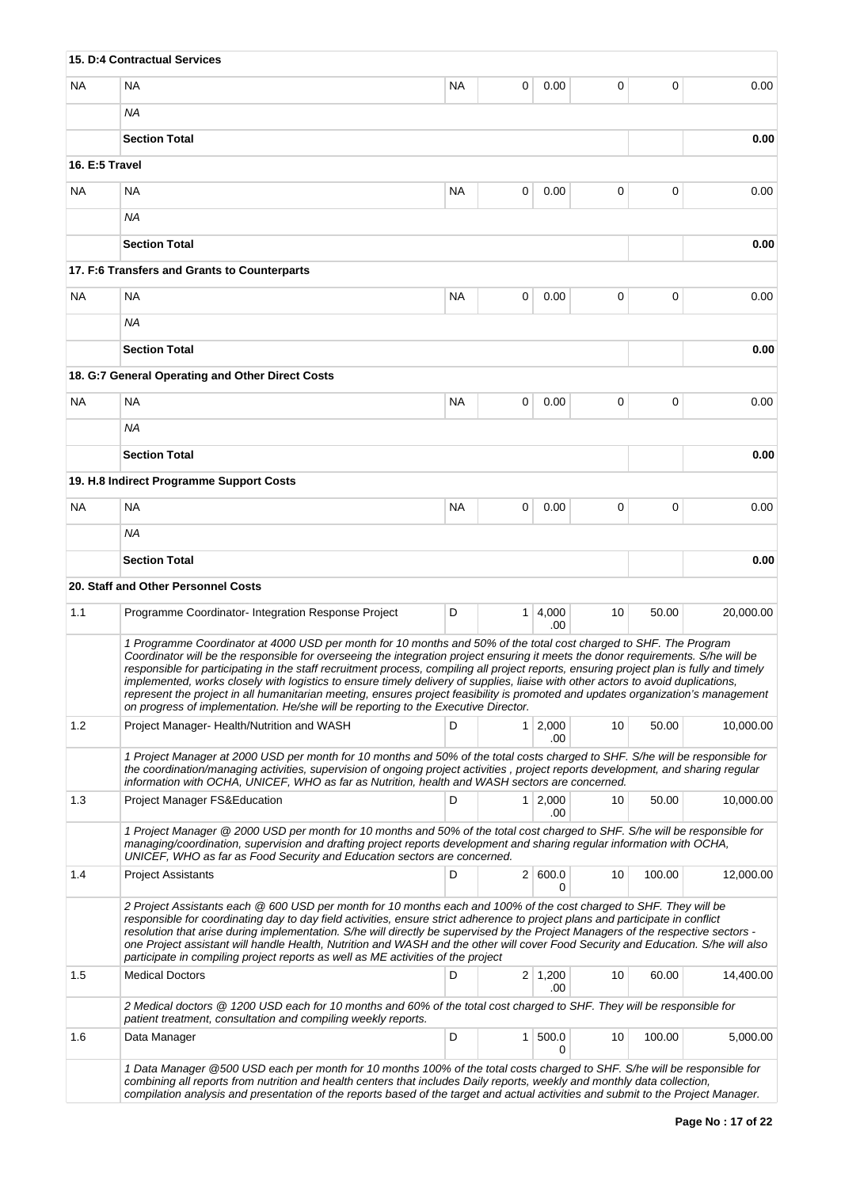|                                                                                                                                                                                                                                                                                                                                                                                                                                                                                                                                                                                                                                                                                                                                                                  | 15. D:4 Contractual Services                                                                                                                                                                                                                                                                                                                                                                                                                                                                                                                                                                                       |           |              |                       |    |        |           |
|------------------------------------------------------------------------------------------------------------------------------------------------------------------------------------------------------------------------------------------------------------------------------------------------------------------------------------------------------------------------------------------------------------------------------------------------------------------------------------------------------------------------------------------------------------------------------------------------------------------------------------------------------------------------------------------------------------------------------------------------------------------|--------------------------------------------------------------------------------------------------------------------------------------------------------------------------------------------------------------------------------------------------------------------------------------------------------------------------------------------------------------------------------------------------------------------------------------------------------------------------------------------------------------------------------------------------------------------------------------------------------------------|-----------|--------------|-----------------------|----|--------|-----------|
| <b>NA</b>                                                                                                                                                                                                                                                                                                                                                                                                                                                                                                                                                                                                                                                                                                                                                        | <b>NA</b>                                                                                                                                                                                                                                                                                                                                                                                                                                                                                                                                                                                                          | <b>NA</b> | 0            | 0.00                  | 0  | 0      | 0.00      |
|                                                                                                                                                                                                                                                                                                                                                                                                                                                                                                                                                                                                                                                                                                                                                                  | ΝA                                                                                                                                                                                                                                                                                                                                                                                                                                                                                                                                                                                                                 |           |              |                       |    |        |           |
|                                                                                                                                                                                                                                                                                                                                                                                                                                                                                                                                                                                                                                                                                                                                                                  | <b>Section Total</b>                                                                                                                                                                                                                                                                                                                                                                                                                                                                                                                                                                                               |           | 0.00         |                       |    |        |           |
| 16. E:5 Travel                                                                                                                                                                                                                                                                                                                                                                                                                                                                                                                                                                                                                                                                                                                                                   |                                                                                                                                                                                                                                                                                                                                                                                                                                                                                                                                                                                                                    |           |              |                       |    |        |           |
| <b>NA</b>                                                                                                                                                                                                                                                                                                                                                                                                                                                                                                                                                                                                                                                                                                                                                        | NA                                                                                                                                                                                                                                                                                                                                                                                                                                                                                                                                                                                                                 | NA        | 0            | 0.00                  | 0  | 0      | 0.00      |
|                                                                                                                                                                                                                                                                                                                                                                                                                                                                                                                                                                                                                                                                                                                                                                  | ΝA                                                                                                                                                                                                                                                                                                                                                                                                                                                                                                                                                                                                                 |           |              |                       |    |        |           |
|                                                                                                                                                                                                                                                                                                                                                                                                                                                                                                                                                                                                                                                                                                                                                                  | <b>Section Total</b>                                                                                                                                                                                                                                                                                                                                                                                                                                                                                                                                                                                               |           |              |                       |    |        | 0.00      |
|                                                                                                                                                                                                                                                                                                                                                                                                                                                                                                                                                                                                                                                                                                                                                                  | 17. F:6 Transfers and Grants to Counterparts                                                                                                                                                                                                                                                                                                                                                                                                                                                                                                                                                                       |           |              |                       |    |        |           |
| <b>NA</b>                                                                                                                                                                                                                                                                                                                                                                                                                                                                                                                                                                                                                                                                                                                                                        | <b>NA</b>                                                                                                                                                                                                                                                                                                                                                                                                                                                                                                                                                                                                          | 0         | 0            | 0.00                  |    |        |           |
|                                                                                                                                                                                                                                                                                                                                                                                                                                                                                                                                                                                                                                                                                                                                                                  | ΝA                                                                                                                                                                                                                                                                                                                                                                                                                                                                                                                                                                                                                 |           |              |                       |    |        |           |
|                                                                                                                                                                                                                                                                                                                                                                                                                                                                                                                                                                                                                                                                                                                                                                  | <b>Section Total</b>                                                                                                                                                                                                                                                                                                                                                                                                                                                                                                                                                                                               |           |              |                       |    |        | 0.00      |
|                                                                                                                                                                                                                                                                                                                                                                                                                                                                                                                                                                                                                                                                                                                                                                  | 18. G:7 General Operating and Other Direct Costs                                                                                                                                                                                                                                                                                                                                                                                                                                                                                                                                                                   |           |              |                       |    |        |           |
| <b>NA</b>                                                                                                                                                                                                                                                                                                                                                                                                                                                                                                                                                                                                                                                                                                                                                        | <b>NA</b>                                                                                                                                                                                                                                                                                                                                                                                                                                                                                                                                                                                                          | <b>NA</b> | 0            | 0.00                  | 0  | 0      | 0.00      |
|                                                                                                                                                                                                                                                                                                                                                                                                                                                                                                                                                                                                                                                                                                                                                                  | ΝA                                                                                                                                                                                                                                                                                                                                                                                                                                                                                                                                                                                                                 |           |              |                       |    |        |           |
|                                                                                                                                                                                                                                                                                                                                                                                                                                                                                                                                                                                                                                                                                                                                                                  | <b>Section Total</b>                                                                                                                                                                                                                                                                                                                                                                                                                                                                                                                                                                                               |           |              |                       |    |        | 0.00      |
|                                                                                                                                                                                                                                                                                                                                                                                                                                                                                                                                                                                                                                                                                                                                                                  | 19. H.8 Indirect Programme Support Costs                                                                                                                                                                                                                                                                                                                                                                                                                                                                                                                                                                           |           |              |                       |    |        |           |
| NA.                                                                                                                                                                                                                                                                                                                                                                                                                                                                                                                                                                                                                                                                                                                                                              | <b>NA</b>                                                                                                                                                                                                                                                                                                                                                                                                                                                                                                                                                                                                          | <b>NA</b> | 0            | 0.00                  | 0  | 0      | 0.00      |
|                                                                                                                                                                                                                                                                                                                                                                                                                                                                                                                                                                                                                                                                                                                                                                  | ΝA                                                                                                                                                                                                                                                                                                                                                                                                                                                                                                                                                                                                                 |           |              |                       |    |        |           |
|                                                                                                                                                                                                                                                                                                                                                                                                                                                                                                                                                                                                                                                                                                                                                                  | <b>Section Total</b>                                                                                                                                                                                                                                                                                                                                                                                                                                                                                                                                                                                               |           |              |                       |    |        | 0.00      |
|                                                                                                                                                                                                                                                                                                                                                                                                                                                                                                                                                                                                                                                                                                                                                                  | 20. Staff and Other Personnel Costs                                                                                                                                                                                                                                                                                                                                                                                                                                                                                                                                                                                |           |              |                       |    |        |           |
| 1.1                                                                                                                                                                                                                                                                                                                                                                                                                                                                                                                                                                                                                                                                                                                                                              | Programme Coordinator-Integration Response Project                                                                                                                                                                                                                                                                                                                                                                                                                                                                                                                                                                 | D         |              | $1 \mid 4,000$<br>.00 | 10 | 50.00  | 20.000.00 |
| 1 Programme Coordinator at 4000 USD per month for 10 months and 50% of the total cost charged to SHF. The Program<br>Coordinator will be the responsible for overseeing the integration project ensuring it meets the donor requirements. S/he will be<br>responsible for participating in the staff recruitment process, compiling all project reports, ensuring project plan is fully and timely<br>implemented, works closely with logistics to ensure timely delivery of supplies, liaise with other actors to avoid duplications,<br>represent the project in all humanitarian meeting, ensures project feasibility is promoted and updates organization's management<br>on progress of implementation. He/she will be reporting to the Executive Director. |                                                                                                                                                                                                                                                                                                                                                                                                                                                                                                                                                                                                                    |           |              |                       |    |        |           |
| 1.2                                                                                                                                                                                                                                                                                                                                                                                                                                                                                                                                                                                                                                                                                                                                                              | Project Manager- Health/Nutrition and WASH                                                                                                                                                                                                                                                                                                                                                                                                                                                                                                                                                                         | D         | 1            | 2,000                 | 10 | 50.00  | 10,000.00 |
|                                                                                                                                                                                                                                                                                                                                                                                                                                                                                                                                                                                                                                                                                                                                                                  | .00<br>1 Project Manager at 2000 USD per month for 10 months and 50% of the total costs charged to SHF. S/he will be responsible for<br>the coordination/managing activities, supervision of ongoing project activities, project reports development, and sharing regular<br>information with OCHA, UNICEF, WHO as far as Nutrition, health and WASH sectors are concerned.                                                                                                                                                                                                                                        |           |              |                       |    |        |           |
| 1.3                                                                                                                                                                                                                                                                                                                                                                                                                                                                                                                                                                                                                                                                                                                                                              | <b>Project Manager FS&amp;Education</b>                                                                                                                                                                                                                                                                                                                                                                                                                                                                                                                                                                            | D         |              | $1 \mid 2,000$<br>.00 | 10 | 50.00  | 10,000.00 |
|                                                                                                                                                                                                                                                                                                                                                                                                                                                                                                                                                                                                                                                                                                                                                                  | 1 Project Manager @ 2000 USD per month for 10 months and 50% of the total cost charged to SHF. S/he will be responsible for<br>managing/coordination, supervision and drafting project reports development and sharing regular information with OCHA,<br>UNICEF, WHO as far as Food Security and Education sectors are concerned.                                                                                                                                                                                                                                                                                  |           |              |                       |    |        |           |
| 1.4                                                                                                                                                                                                                                                                                                                                                                                                                                                                                                                                                                                                                                                                                                                                                              | <b>Project Assistants</b>                                                                                                                                                                                                                                                                                                                                                                                                                                                                                                                                                                                          | D         |              | 2   600.0<br>0        | 10 | 100.00 | 12,000.00 |
|                                                                                                                                                                                                                                                                                                                                                                                                                                                                                                                                                                                                                                                                                                                                                                  | 2 Project Assistants each @ 600 USD per month for 10 months each and 100% of the cost charged to SHF. They will be<br>responsible for coordinating day to day field activities, ensure strict adherence to project plans and participate in conflict<br>resolution that arise during implementation. S/he will directly be supervised by the Project Managers of the respective sectors -<br>one Project assistant will handle Health, Nutrition and WASH and the other will cover Food Security and Education. S/he will also<br>participate in compiling project reports as well as ME activities of the project |           |              |                       |    |        |           |
| 1.5                                                                                                                                                                                                                                                                                                                                                                                                                                                                                                                                                                                                                                                                                                                                                              | <b>Medical Doctors</b>                                                                                                                                                                                                                                                                                                                                                                                                                                                                                                                                                                                             | D         |              | 2 1,200<br>.00        | 10 | 60.00  | 14,400.00 |
|                                                                                                                                                                                                                                                                                                                                                                                                                                                                                                                                                                                                                                                                                                                                                                  | 2 Medical doctors @ 1200 USD each for 10 months and 60% of the total cost charged to SHF. They will be responsible for<br>patient treatment, consultation and compiling weekly reports.                                                                                                                                                                                                                                                                                                                                                                                                                            |           |              |                       |    |        |           |
| 1.6                                                                                                                                                                                                                                                                                                                                                                                                                                                                                                                                                                                                                                                                                                                                                              | Data Manager                                                                                                                                                                                                                                                                                                                                                                                                                                                                                                                                                                                                       | D         | $\mathbf{1}$ | 500.0<br>0            | 10 | 100.00 | 5,000.00  |
|                                                                                                                                                                                                                                                                                                                                                                                                                                                                                                                                                                                                                                                                                                                                                                  | 1 Data Manager @500 USD each per month for 10 months 100% of the total costs charged to SHF. S/he will be responsible for<br>combining all reports from nutrition and health centers that includes Daily reports, weekly and monthly data collection,<br>compilation analysis and presentation of the reports based of the target and actual activities and submit to the Project Manager.                                                                                                                                                                                                                         |           |              |                       |    |        |           |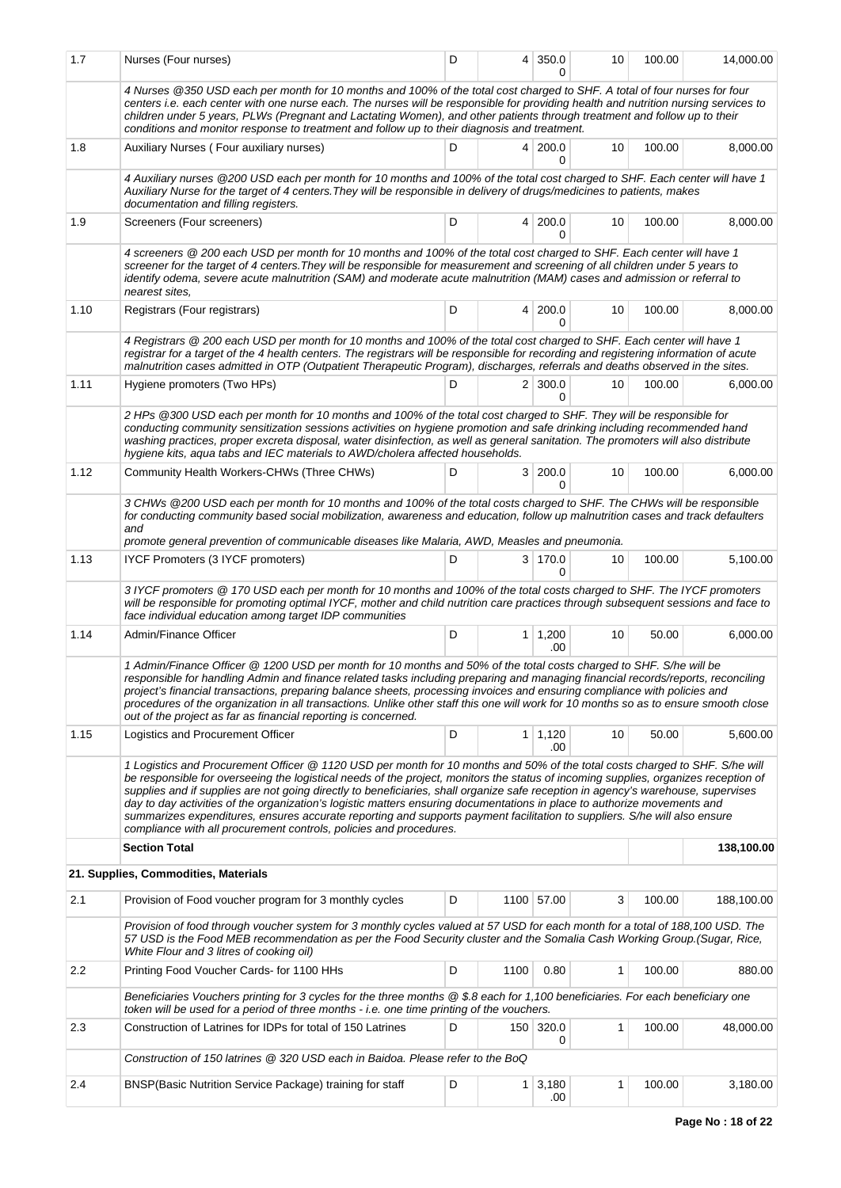| 1.7  | Nurses (Four nurses)                                                                                                                                                                                                                                                                                                                                                                                                                                                                                                                                                                                                                                                                                                                   | D |      | 4 350.0<br>0          | 10 | 100.00 | 14,000.00  |  |  |
|------|----------------------------------------------------------------------------------------------------------------------------------------------------------------------------------------------------------------------------------------------------------------------------------------------------------------------------------------------------------------------------------------------------------------------------------------------------------------------------------------------------------------------------------------------------------------------------------------------------------------------------------------------------------------------------------------------------------------------------------------|---|------|-----------------------|----|--------|------------|--|--|
|      | 4 Nurses @350 USD each per month for 10 months and 100% of the total cost charged to SHF. A total of four nurses for four<br>centers i.e. each center with one nurse each. The nurses will be responsible for providing health and nutrition nursing services to<br>children under 5 years, PLWs (Pregnant and Lactating Women), and other patients through treatment and follow up to their<br>conditions and monitor response to treatment and follow up to their diagnosis and treatment.                                                                                                                                                                                                                                           |   |      |                       |    |        |            |  |  |
| 1.8  | D<br>4 200.0<br>10<br>100.00<br>8,000.00<br>Auxiliary Nurses (Four auxiliary nurses)<br>0                                                                                                                                                                                                                                                                                                                                                                                                                                                                                                                                                                                                                                              |   |      |                       |    |        |            |  |  |
|      | 4 Auxiliary nurses @200 USD each per month for 10 months and 100% of the total cost charged to SHF. Each center will have 1<br>Auxiliary Nurse for the target of 4 centers. They will be responsible in delivery of drugs/medicines to patients, makes<br>documentation and filling registers.                                                                                                                                                                                                                                                                                                                                                                                                                                         |   |      |                       |    |        |            |  |  |
| 1.9  | Screeners (Four screeners)                                                                                                                                                                                                                                                                                                                                                                                                                                                                                                                                                                                                                                                                                                             | D |      | 4 200.0<br>$\Omega$   | 10 | 100.00 | 8,000.00   |  |  |
|      | 4 screeners @ 200 each USD per month for 10 months and 100% of the total cost charged to SHF. Each center will have 1<br>screener for the target of 4 centers. They will be responsible for measurement and screening of all children under 5 years to<br>identify odema, severe acute malnutrition (SAM) and moderate acute malnutrition (MAM) cases and admission or referral to<br>nearest sites.                                                                                                                                                                                                                                                                                                                                   |   |      |                       |    |        |            |  |  |
| 1.10 | Registrars (Four registrars)                                                                                                                                                                                                                                                                                                                                                                                                                                                                                                                                                                                                                                                                                                           | D | 4    | 200.0<br>$\Omega$     | 10 | 100.00 | 8,000.00   |  |  |
|      | 4 Registrars @ 200 each USD per month for 10 months and 100% of the total cost charged to SHF. Each center will have 1<br>registrar for a target of the 4 health centers. The registrars will be responsible for recording and registering information of acute<br>malnutrition cases admitted in OTP (Outpatient Therapeutic Program), discharges, referrals and deaths observed in the sites.                                                                                                                                                                                                                                                                                                                                        |   |      |                       |    |        |            |  |  |
| 1.11 | Hygiene promoters (Two HPs)                                                                                                                                                                                                                                                                                                                                                                                                                                                                                                                                                                                                                                                                                                            | D |      | $2 \mid 300.0$<br>0   | 10 | 100.00 | 6,000.00   |  |  |
|      | 2 HPs @300 USD each per month for 10 months and 100% of the total cost charged to SHF. They will be responsible for<br>conducting community sensitization sessions activities on hygiene promotion and safe drinking including recommended hand<br>washing practices, proper excreta disposal, water disinfection, as well as general sanitation. The promoters will also distribute<br>hygiene kits, agua tabs and IEC materials to AWD/cholera affected households.                                                                                                                                                                                                                                                                  |   |      |                       |    |        |            |  |  |
| 1.12 | Community Health Workers-CHWs (Three CHWs)                                                                                                                                                                                                                                                                                                                                                                                                                                                                                                                                                                                                                                                                                             | D | 3    | 200.0                 | 10 | 100.00 | 6,000.00   |  |  |
|      | 3 CHWs @200 USD each per month for 10 months and 100% of the total costs charged to SHF. The CHWs will be responsible<br>for conducting community based social mobilization, awareness and education, follow up malnutrition cases and track defaulters<br>and<br>promote general prevention of communicable diseases like Malaria, AWD, Measles and pneumonia.                                                                                                                                                                                                                                                                                                                                                                        |   |      |                       |    |        |            |  |  |
| 1.13 | IYCF Promoters (3 IYCF promoters)                                                                                                                                                                                                                                                                                                                                                                                                                                                                                                                                                                                                                                                                                                      | D |      | 3 170.0<br>0          | 10 | 100.00 | 5,100.00   |  |  |
|      | 3 IYCF promoters @ 170 USD each per month for 10 months and 100% of the total costs charged to SHF. The IYCF promoters<br>will be responsible for promoting optimal IYCF, mother and child nutrition care practices through subsequent sessions and face to<br>face individual education among target IDP communities                                                                                                                                                                                                                                                                                                                                                                                                                  |   |      |                       |    |        |            |  |  |
| 1.14 | Admin/Finance Officer                                                                                                                                                                                                                                                                                                                                                                                                                                                                                                                                                                                                                                                                                                                  | D |      | $1 \mid 1,200$<br>.00 | 10 | 50.00  | 6,000.00   |  |  |
|      | 1 Admin/Finance Officer @ 1200 USD per month for 10 months and 50% of the total costs charged to SHF. S/he will be<br>responsible for handling Admin and finance related tasks including preparing and managing financial records/reports, reconciling<br>project's financial transactions, preparing balance sheets, processing invoices and ensuring compliance with policies and<br>procedures of the organization in all transactions. Unlike other staff this one will work for 10 months so as to ensure smooth close<br>out of the project as far as financial reporting is concerned.                                                                                                                                          |   |      |                       |    |        |            |  |  |
| 1.15 | Logistics and Procurement Officer                                                                                                                                                                                                                                                                                                                                                                                                                                                                                                                                                                                                                                                                                                      | D | 1    | 1,120<br>.00          | 10 | 50.00  | 5,600.00   |  |  |
|      | 1 Logistics and Procurement Officer @ 1120 USD per month for 10 months and 50% of the total costs charged to SHF. S/he will<br>be responsible for overseeing the logistical needs of the project, monitors the status of incoming supplies, organizes reception of<br>supplies and if supplies are not going directly to beneficiaries, shall organize safe reception in agency's warehouse, supervises<br>day to day activities of the organization's logistic matters ensuring documentations in place to authorize movements and<br>summarizes expenditures, ensures accurate reporting and supports payment facilitation to suppliers. S/he will also ensure<br>compliance with all procurement controls, policies and procedures. |   |      |                       |    |        |            |  |  |
|      | <b>Section Total</b>                                                                                                                                                                                                                                                                                                                                                                                                                                                                                                                                                                                                                                                                                                                   |   |      |                       |    |        | 138,100.00 |  |  |
|      | 21. Supplies, Commodities, Materials                                                                                                                                                                                                                                                                                                                                                                                                                                                                                                                                                                                                                                                                                                   |   |      |                       |    |        |            |  |  |
| 2.1  | Provision of Food voucher program for 3 monthly cycles                                                                                                                                                                                                                                                                                                                                                                                                                                                                                                                                                                                                                                                                                 | D |      | 1100 57.00            | 3  | 100.00 | 188,100.00 |  |  |
|      | Provision of food through voucher system for 3 monthly cycles valued at 57 USD for each month for a total of 188,100 USD. The<br>57 USD is the Food MEB recommendation as per the Food Security cluster and the Somalia Cash Working Group. (Sugar, Rice,<br>White Flour and 3 litres of cooking oil)                                                                                                                                                                                                                                                                                                                                                                                                                                  |   |      |                       |    |        |            |  |  |
| 2.2  | Printing Food Voucher Cards- for 1100 HHs                                                                                                                                                                                                                                                                                                                                                                                                                                                                                                                                                                                                                                                                                              | D | 1100 | 0.80                  | 1  | 100.00 | 880.00     |  |  |
|      | Beneficiaries Vouchers printing for 3 cycles for the three months @ \$.8 each for 1,100 beneficiaries. For each beneficiary one<br>token will be used for a period of three months - i.e. one time printing of the vouchers.                                                                                                                                                                                                                                                                                                                                                                                                                                                                                                           |   |      |                       |    |        |            |  |  |
| 2.3  | Construction of Latrines for IDPs for total of 150 Latrines                                                                                                                                                                                                                                                                                                                                                                                                                                                                                                                                                                                                                                                                            | D |      | 150 320.0<br>0        | 1  | 100.00 | 48,000.00  |  |  |
|      | Construction of 150 latrines @ 320 USD each in Baidoa. Please refer to the BoQ                                                                                                                                                                                                                                                                                                                                                                                                                                                                                                                                                                                                                                                         |   |      |                       |    |        |            |  |  |
| 2.4  | BNSP (Basic Nutrition Service Package) training for staff                                                                                                                                                                                                                                                                                                                                                                                                                                                                                                                                                                                                                                                                              | D | 1    | 3,180<br>.00          | 1  | 100.00 | 3,180.00   |  |  |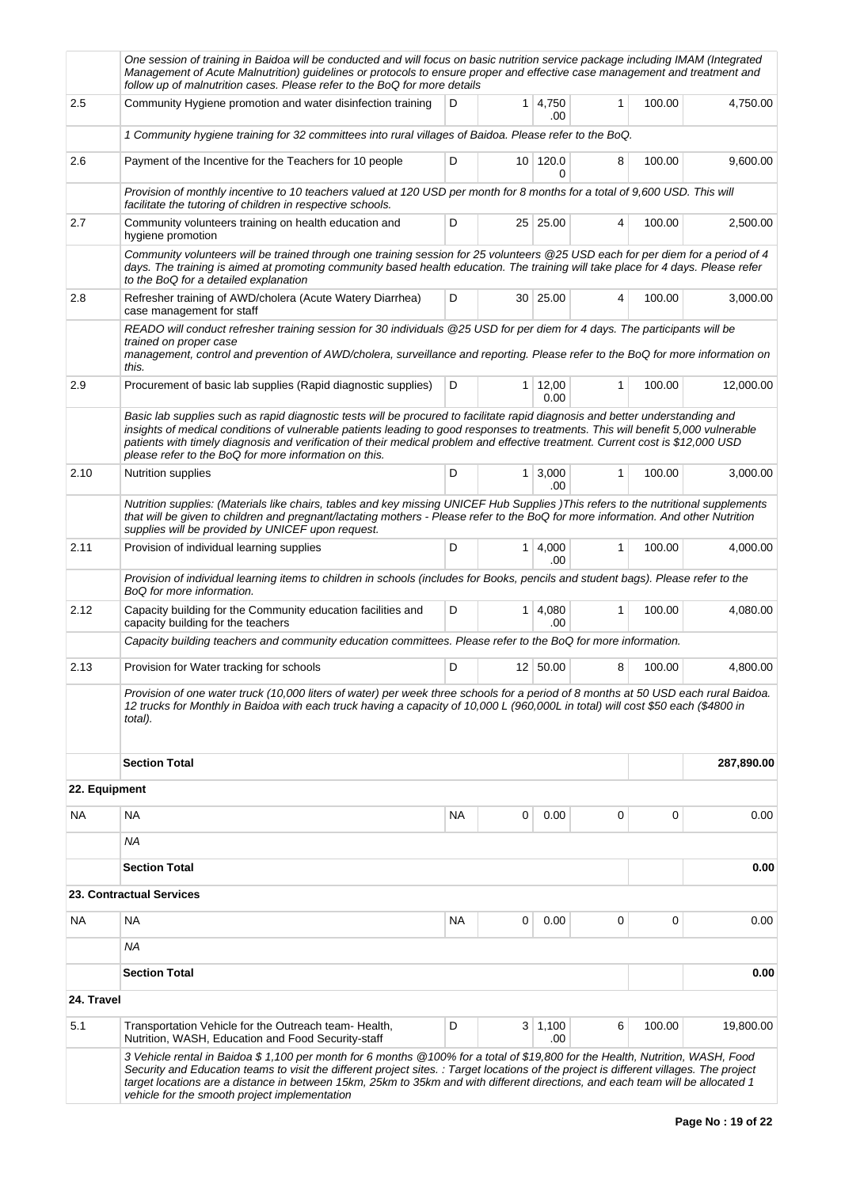|            | One session of training in Baidoa will be conducted and will focus on basic nutrition service package including IMAM (Integrated<br>Management of Acute Malnutrition) guidelines or protocols to ensure proper and effective case management and treatment and<br>follow up of malnutrition cases. Please refer to the BoQ for more details                                                                                                                   |           |   |                        |              |        |            |
|------------|---------------------------------------------------------------------------------------------------------------------------------------------------------------------------------------------------------------------------------------------------------------------------------------------------------------------------------------------------------------------------------------------------------------------------------------------------------------|-----------|---|------------------------|--------------|--------|------------|
| 2.5        | Community Hygiene promotion and water disinfection training                                                                                                                                                                                                                                                                                                                                                                                                   | D         |   | $1 \mid 4,750$<br>.00  | 1            | 100.00 | 4,750.00   |
|            | 1 Community hygiene training for 32 committees into rural villages of Baidoa. Please refer to the BoQ.                                                                                                                                                                                                                                                                                                                                                        |           |   |                        |              |        |            |
| 2.6        | Payment of the Incentive for the Teachers for 10 people                                                                                                                                                                                                                                                                                                                                                                                                       | D         |   | 10 120.0<br>0          | 8            | 100.00 | 9,600.00   |
|            | Provision of monthly incentive to 10 teachers valued at 120 USD per month for 8 months for a total of 9,600 USD. This will<br>facilitate the tutoring of children in respective schools.                                                                                                                                                                                                                                                                      |           |   |                        |              |        |            |
| 2.7        | Community volunteers training on health education and<br>hygiene promotion                                                                                                                                                                                                                                                                                                                                                                                    | D         |   | $25 \mid 25.00$        | 4            | 100.00 | 2,500.00   |
|            | Community volunteers will be trained through one training session for 25 volunteers @25 USD each for per diem for a period of 4<br>days. The training is aimed at promoting community based health education. The training will take place for 4 days. Please refer<br>to the BoQ for a detailed explanation                                                                                                                                                  |           |   |                        |              |        |            |
| 2.8        | Refresher training of AWD/cholera (Acute Watery Diarrhea)<br>case management for staff                                                                                                                                                                                                                                                                                                                                                                        | D         |   | 30   25.00             | 4            | 100.00 | 3,000.00   |
|            | READO will conduct refresher training session for 30 individuals @25 USD for per diem for 4 days. The participants will be<br>trained on proper case<br>management, control and prevention of AWD/cholera, surveillance and reporting. Please refer to the BoQ for more information on<br>this.                                                                                                                                                               |           |   |                        |              |        |            |
| 2.9        | Procurement of basic lab supplies (Rapid diagnostic supplies)                                                                                                                                                                                                                                                                                                                                                                                                 | D         |   | $1 \mid 12,00$<br>0.00 | $\mathbf{1}$ | 100.00 | 12,000.00  |
|            | Basic lab supplies such as rapid diagnostic tests will be procured to facilitate rapid diagnosis and better understanding and<br>insights of medical conditions of vulnerable patients leading to good responses to treatments. This will benefit 5,000 vulnerable<br>patients with timely diagnosis and verification of their medical problem and effective treatment. Current cost is \$12,000 USD<br>please refer to the BoQ for more information on this. |           |   |                        |              |        |            |
| 2.10       | <b>Nutrition supplies</b>                                                                                                                                                                                                                                                                                                                                                                                                                                     | D         |   | $1 \mid 3,000$<br>.00  | 1            | 100.00 | 3,000.00   |
|            | Nutrition supplies: (Materials like chairs, tables and key missing UNICEF Hub Supplies) This refers to the nutritional supplements<br>that will be given to children and pregnant/lactating mothers - Please refer to the BoQ for more information. And other Nutrition<br>supplies will be provided by UNICEF upon request.                                                                                                                                  |           |   |                        |              |        |            |
| 2.11       | Provision of individual learning supplies                                                                                                                                                                                                                                                                                                                                                                                                                     | D         |   | $1 \mid 4,000$<br>.00  | $\mathbf{1}$ | 100.00 | 4,000.00   |
|            | Provision of individual learning items to children in schools (includes for Books, pencils and student bags). Please refer to the<br>BoQ for more information.                                                                                                                                                                                                                                                                                                |           |   |                        |              |        |            |
| 2.12       | Capacity building for the Community education facilities and<br>capacity building for the teachers                                                                                                                                                                                                                                                                                                                                                            | D         |   | $1 \mid 4,080$<br>.00  | $\mathbf{1}$ | 100.00 | 4,080.00   |
|            | Capacity building teachers and community education committees. Please refer to the BoQ for more information.                                                                                                                                                                                                                                                                                                                                                  |           |   |                        |              |        |            |
| 2.13       | Provision for Water tracking for schools                                                                                                                                                                                                                                                                                                                                                                                                                      | D         |   | 12 50.00               | 8            | 100.00 | 4,800.00   |
|            | Provision of one water truck (10,000 liters of water) per week three schools for a period of 8 months at 50 USD each rural Baidoa.<br>12 trucks for Monthly in Baidoa with each truck having a capacity of 10,000 L (960,000L in total) will cost \$50 each (\$4800 in<br>total).                                                                                                                                                                             |           |   |                        |              |        |            |
|            | <b>Section Total</b>                                                                                                                                                                                                                                                                                                                                                                                                                                          |           |   |                        |              |        | 287,890.00 |
|            | 22. Equipment                                                                                                                                                                                                                                                                                                                                                                                                                                                 |           |   |                        |              |        |            |
| NA         | <b>NA</b>                                                                                                                                                                                                                                                                                                                                                                                                                                                     | <b>NA</b> | 0 | 0.00                   | 0            | 0      | 0.00       |
|            | ΝA                                                                                                                                                                                                                                                                                                                                                                                                                                                            |           |   |                        |              |        |            |
|            | <b>Section Total</b><br><b>23. Contractual Services</b>                                                                                                                                                                                                                                                                                                                                                                                                       |           |   |                        |              |        | 0.00       |
|            |                                                                                                                                                                                                                                                                                                                                                                                                                                                               |           |   |                        |              |        |            |
| NA         | <b>NA</b><br>ΝA                                                                                                                                                                                                                                                                                                                                                                                                                                               | <b>NA</b> | 0 | 0.00                   | 0            | 0      | 0.00       |
|            | <b>Section Total</b>                                                                                                                                                                                                                                                                                                                                                                                                                                          |           |   |                        |              |        | 0.00       |
| 24. Travel |                                                                                                                                                                                                                                                                                                                                                                                                                                                               |           |   |                        |              |        |            |
| 5.1        | Transportation Vehicle for the Outreach team- Health,<br>Nutrition, WASH, Education and Food Security-staff                                                                                                                                                                                                                                                                                                                                                   | D         |   | 3   1,100<br>.00       | 6            | 100.00 | 19,800.00  |
|            | 3 Vehicle rental in Baidoa \$ 1,100 per month for 6 months @100% for a total of \$19,800 for the Health, Nutrition, WASH, Food<br>Security and Education teams to visit the different project sites. : Target locations of the project is different villages. The project<br>target locations are a distance in between 15km, 25km to 35km and with different directions, and each team will be allocated 1<br>vehicle for the smooth project implementation  |           |   |                        |              |        |            |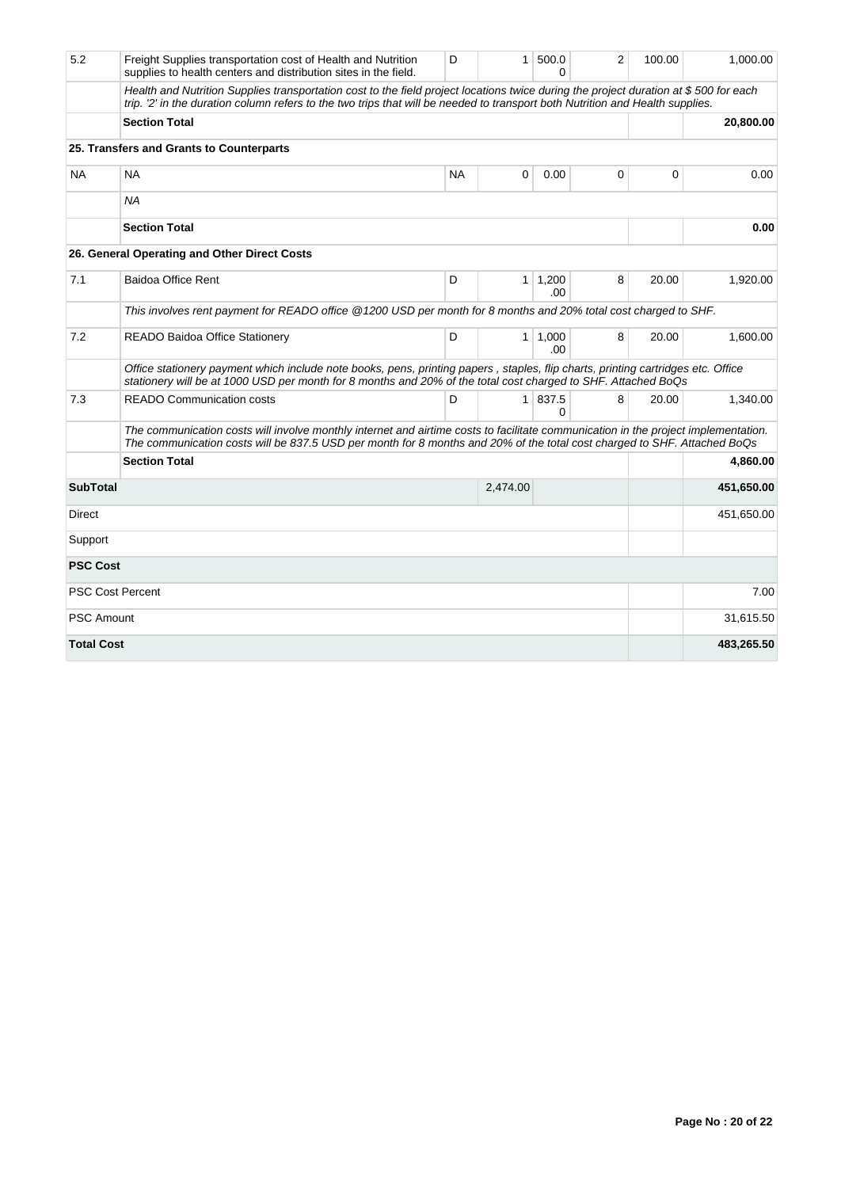| 5.2               | Freight Supplies transportation cost of Health and Nutrition<br>supplies to health centers and distribution sites in the field.                                                                                                                                       | D         | 1 <sup>1</sup> | 500.0<br>O             | 2 | 100.00 | 1,000.00   |
|-------------------|-----------------------------------------------------------------------------------------------------------------------------------------------------------------------------------------------------------------------------------------------------------------------|-----------|----------------|------------------------|---|--------|------------|
|                   | Health and Nutrition Supplies transportation cost to the field project locations twice during the project duration at \$500 for each<br>trip. '2' in the duration column refers to the two trips that will be needed to transport both Nutrition and Health supplies. |           |                |                        |   |        |            |
|                   | <b>Section Total</b>                                                                                                                                                                                                                                                  |           |                |                        |   |        | 20,800.00  |
|                   | 25. Transfers and Grants to Counterparts                                                                                                                                                                                                                              |           |                |                        |   |        |            |
| <b>NA</b>         | <b>NA</b>                                                                                                                                                                                                                                                             | <b>NA</b> | 0              | 0.00                   | 0 | 0      | 0.00       |
|                   | <b>NA</b>                                                                                                                                                                                                                                                             |           |                |                        |   |        |            |
|                   | <b>Section Total</b>                                                                                                                                                                                                                                                  |           |                |                        |   |        | 0.00       |
|                   | 26. General Operating and Other Direct Costs                                                                                                                                                                                                                          |           |                |                        |   |        |            |
| 7.1               | <b>Baidoa Office Rent</b>                                                                                                                                                                                                                                             | D         | $\mathbf{1}$   | 1,200<br>.00.          | 8 | 20.00  | 1,920.00   |
|                   | This involves rent payment for READO office @1200 USD per month for 8 months and 20% total cost charged to SHF.                                                                                                                                                       |           |                |                        |   |        |            |
| 7.2               | <b>READO Baidoa Office Stationery</b>                                                                                                                                                                                                                                 | D         |                | $1 \mid 1,000$<br>.00. | 8 | 20.00  | 1,600.00   |
|                   | Office stationery payment which include note books, pens, printing papers, staples, flip charts, printing cartridges etc. Office<br>stationery will be at 1000 USD per month for 8 months and 20% of the total cost charged to SHF. Attached BoQs                     |           |                |                        |   |        |            |
| 7.3               | <b>READO Communication costs</b>                                                                                                                                                                                                                                      | D         |                | 1 837.5<br>0           | 8 | 20.00  | 1,340.00   |
|                   | The communication costs will involve monthly internet and airtime costs to facilitate communication in the project implementation.<br>The communication costs will be 837.5 USD per month for 8 months and 20% of the total cost charged to SHF. Attached BoQs        |           |                |                        |   |        |            |
|                   | <b>Section Total</b>                                                                                                                                                                                                                                                  |           |                |                        |   |        | 4,860.00   |
| <b>SubTotal</b>   |                                                                                                                                                                                                                                                                       |           | 2,474.00       |                        |   |        | 451,650.00 |
| Direct            |                                                                                                                                                                                                                                                                       |           |                |                        |   |        | 451,650.00 |
| Support           |                                                                                                                                                                                                                                                                       |           |                |                        |   |        |            |
| <b>PSC Cost</b>   |                                                                                                                                                                                                                                                                       |           |                |                        |   |        |            |
|                   | <b>PSC Cost Percent</b>                                                                                                                                                                                                                                               |           |                |                        |   |        | 7.00       |
| <b>PSC Amount</b> |                                                                                                                                                                                                                                                                       |           |                |                        |   |        | 31,615.50  |
| <b>Total Cost</b> |                                                                                                                                                                                                                                                                       |           |                |                        |   |        | 483,265.50 |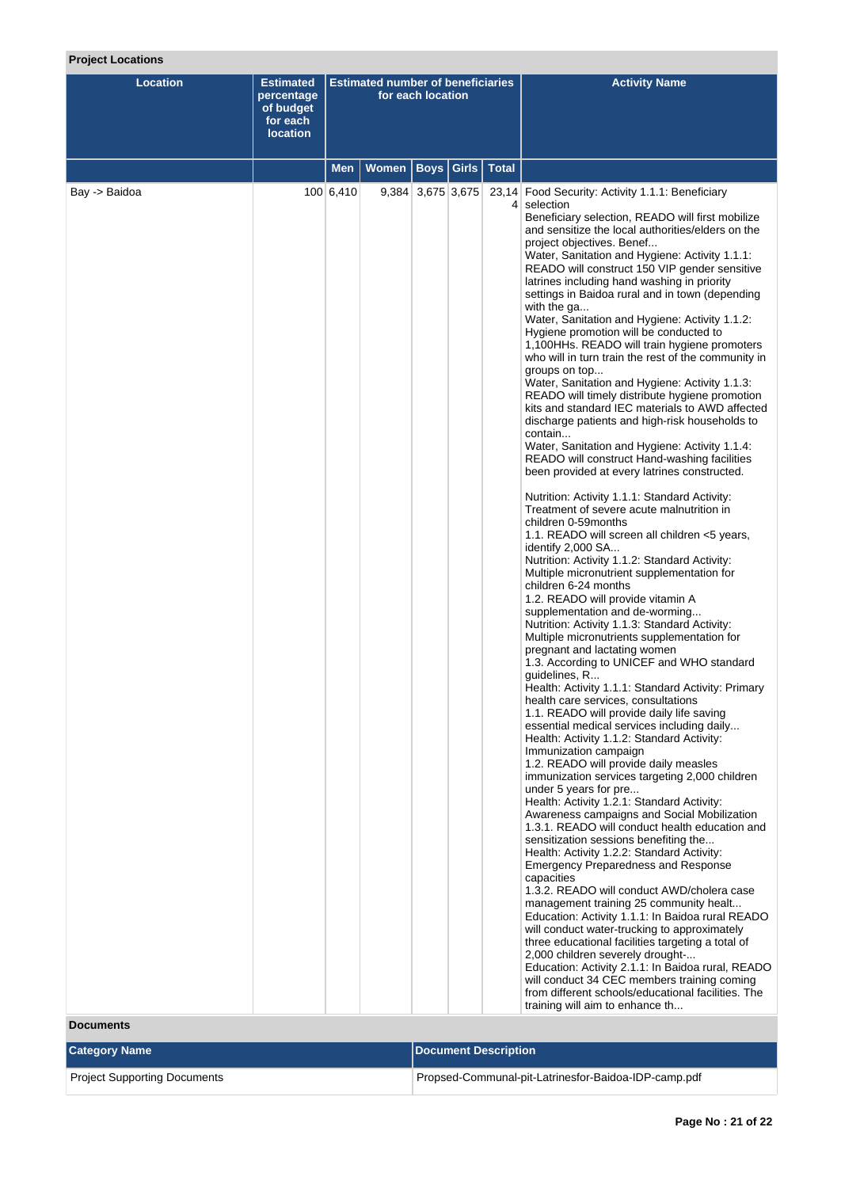### **Project Locations**

| <b>Location</b> | <b>Estimated</b><br>percentage<br>of budget<br>for each<br><b>location</b> |           | <b>Estimated number of beneficiaries</b> | for each location       |  | <b>Activity Name</b>                                                                                                                                                                                                                                                                                                                                                                                                                                                                                                                                                                                                                                                                                                                                                                                                                                                                                                                                                                                                                                                                                                                                                                                                                                                                                                                                                                                                                                                                                                                                                                                                                                                                                                                                                                                                                                                                                                                                                                                                                                                                                                                                                                                                                                                                                                                                                                                                                                                                                                                                                                                                                                                              |
|-----------------|----------------------------------------------------------------------------|-----------|------------------------------------------|-------------------------|--|-----------------------------------------------------------------------------------------------------------------------------------------------------------------------------------------------------------------------------------------------------------------------------------------------------------------------------------------------------------------------------------------------------------------------------------------------------------------------------------------------------------------------------------------------------------------------------------------------------------------------------------------------------------------------------------------------------------------------------------------------------------------------------------------------------------------------------------------------------------------------------------------------------------------------------------------------------------------------------------------------------------------------------------------------------------------------------------------------------------------------------------------------------------------------------------------------------------------------------------------------------------------------------------------------------------------------------------------------------------------------------------------------------------------------------------------------------------------------------------------------------------------------------------------------------------------------------------------------------------------------------------------------------------------------------------------------------------------------------------------------------------------------------------------------------------------------------------------------------------------------------------------------------------------------------------------------------------------------------------------------------------------------------------------------------------------------------------------------------------------------------------------------------------------------------------------------------------------------------------------------------------------------------------------------------------------------------------------------------------------------------------------------------------------------------------------------------------------------------------------------------------------------------------------------------------------------------------------------------------------------------------------------------------------------------------|
|                 |                                                                            | Men       | Women                                    | <b>Boys Girls Total</b> |  |                                                                                                                                                                                                                                                                                                                                                                                                                                                                                                                                                                                                                                                                                                                                                                                                                                                                                                                                                                                                                                                                                                                                                                                                                                                                                                                                                                                                                                                                                                                                                                                                                                                                                                                                                                                                                                                                                                                                                                                                                                                                                                                                                                                                                                                                                                                                                                                                                                                                                                                                                                                                                                                                                   |
| Bay -> Baidoa   |                                                                            | 100 6,410 |                                          | $9,384$ 3,675 3,675     |  | 23,14 Food Security: Activity 1.1.1: Beneficiary<br>4 selection<br>Beneficiary selection, READO will first mobilize<br>and sensitize the local authorities/elders on the<br>project objectives. Benef<br>Water, Sanitation and Hygiene: Activity 1.1.1:<br>READO will construct 150 VIP gender sensitive<br>latrines including hand washing in priority<br>settings in Baidoa rural and in town (depending<br>with the ga<br>Water, Sanitation and Hygiene: Activity 1.1.2:<br>Hygiene promotion will be conducted to<br>1,100HHs. READO will train hygiene promoters<br>who will in turn train the rest of the community in<br>groups on top<br>Water, Sanitation and Hygiene: Activity 1.1.3:<br>READO will timely distribute hygiene promotion<br>kits and standard IEC materials to AWD affected<br>discharge patients and high-risk households to<br>contain<br>Water, Sanitation and Hygiene: Activity 1.1.4:<br>READO will construct Hand-washing facilities<br>been provided at every latrines constructed.<br>Nutrition: Activity 1.1.1: Standard Activity:<br>Treatment of severe acute malnutrition in<br>children 0-59months<br>1.1. READO will screen all children <5 years,<br>identify 2,000 SA<br>Nutrition: Activity 1.1.2: Standard Activity:<br>Multiple micronutrient supplementation for<br>children 6-24 months<br>1.2. READO will provide vitamin A<br>supplementation and de-worming<br>Nutrition: Activity 1.1.3: Standard Activity:<br>Multiple micronutrients supplementation for<br>pregnant and lactating women<br>1.3. According to UNICEF and WHO standard<br>guidelines, R<br>Health: Activity 1.1.1: Standard Activity: Primary<br>nealth care services, consultations<br>1.1. READO will provide daily life saving<br>essential medical services including daily<br>Health: Activity 1.1.2: Standard Activity:<br>Immunization campaign<br>1.2. READO will provide daily measles<br>immunization services targeting 2,000 children<br>under 5 years for pre<br>Health: Activity 1.2.1: Standard Activity:<br>Awareness campaigns and Social Mobilization<br>1.3.1. READO will conduct health education and<br>sensitization sessions benefiting the<br>Health: Activity 1.2.2: Standard Activity:<br>Emergency Preparedness and Response<br>capacities<br>1.3.2. READO will conduct AWD/cholera case<br>management training 25 community healt<br>Education: Activity 1.1.1: In Baidoa rural READO<br>will conduct water-trucking to approximately<br>three educational facilities targeting a total of<br>2,000 children severely drought-<br>Education: Activity 2.1.1: In Baidoa rural, READO<br>will conduct 34 CEC members training coming |
|                 |                                                                            |           |                                          |                         |  | from different schools/educational facilities. The<br>training will aim to enhance th                                                                                                                                                                                                                                                                                                                                                                                                                                                                                                                                                                                                                                                                                                                                                                                                                                                                                                                                                                                                                                                                                                                                                                                                                                                                                                                                                                                                                                                                                                                                                                                                                                                                                                                                                                                                                                                                                                                                                                                                                                                                                                                                                                                                                                                                                                                                                                                                                                                                                                                                                                                             |

#### **Documents**

| <b>Category Name</b>         | Document Description                                 |
|------------------------------|------------------------------------------------------|
| Project Supporting Documents | Propsed-Communal-pit-Latrinesfor-Baidoa-IDP-camp.pdf |